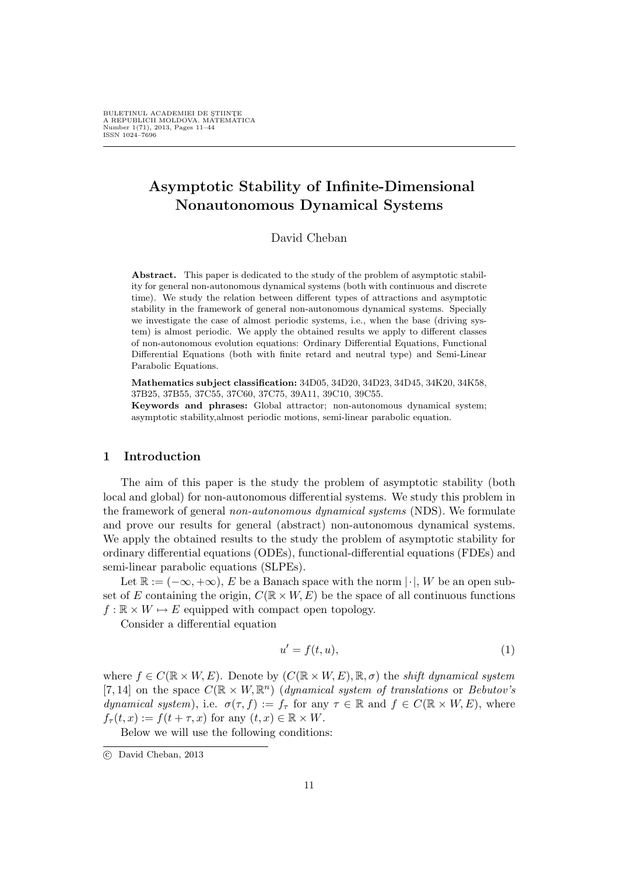# Asymptotic Stability of Infinite-Dimensional Nonautonomous Dynamical Systems

# David Cheban

Abstract. This paper is dedicated to the study of the problem of asymptotic stability for general non-autonomous dynamical systems (both with continuous and discrete time). We study the relation between different types of attractions and asymptotic stability in the framework of general non-autonomous dynamical systems. Specially we investigate the case of almost periodic systems, i.e., when the base (driving system) is almost periodic. We apply the obtained results we apply to different classes of non-autonomous evolution equations: Ordinary Differential Equations, Functional Differential Equations (both with finite retard and neutral type) and Semi-Linear Parabolic Equations.

Mathematics subject classification: 34D05, 34D20, 34D23, 34D45, 34K20, 34K58, 37B25, 37B55, 37C55, 37C60, 37C75, 39A11, 39C10, 39C55.

Keywords and phrases: Global attractor; non-autonomous dynamical system; asymptotic stability,almost periodic motions, semi-linear parabolic equation.

## 1 Introduction

The aim of this paper is the study the problem of asymptotic stability (both local and global) for non-autonomous differential systems. We study this problem in the framework of general non-autonomous dynamical systems (NDS). We formulate and prove our results for general (abstract) non-autonomous dynamical systems. We apply the obtained results to the study the problem of asymptotic stability for ordinary differential equations (ODEs), functional-differential equations (FDEs) and semi-linear parabolic equations (SLPEs).

Let  $\mathbb{R} := (-\infty, +\infty)$ , E be a Banach space with the norm  $|\cdot|$ , W be an open subset of E containing the origin,  $C(\mathbb{R} \times W, E)$  be the space of all continuous functions  $f : \mathbb{R} \times W \mapsto E$  equipped with compact open topology.

Consider a differential equation

$$
u' = f(t, u),\tag{1}
$$

where  $f \in C(\mathbb{R} \times W, E)$ . Denote by  $(C(\mathbb{R} \times W, E), \mathbb{R}, \sigma)$  the shift dynamical system [7, 14] on the space  $C(\mathbb{R} \times W, \mathbb{R}^n)$  (dynamical system of translations or Bebutov's dynamical system), i.e.  $\sigma(\tau, f) := f_{\tau}$  for any  $\tau \in \mathbb{R}$  and  $f \in C(\mathbb{R} \times W, E)$ , where  $f_{\tau}(t, x) := f(t + \tau, x)$  for any  $(t, x) \in \mathbb{R} \times W$ .

Below we will use the following conditions:

<sup>°</sup>c David Cheban, 2013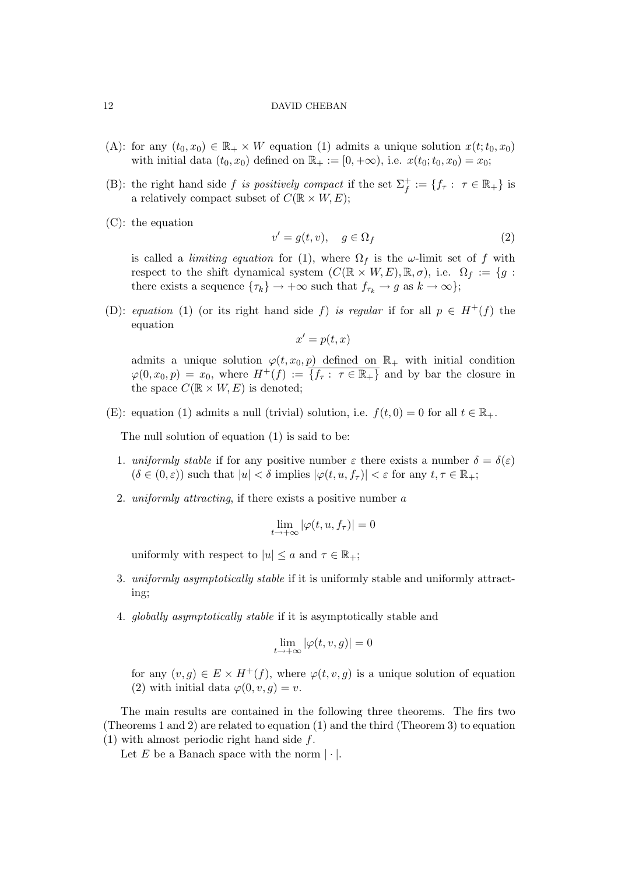- (A): for any  $(t_0, x_0) \in \mathbb{R}_+ \times W$  equation (1) admits a unique solution  $x(t; t_0, x_0)$ with initial data  $(t_0, x_0)$  defined on  $\mathbb{R}_+ := [0, +\infty)$ , i.e.  $x(t_0; t_0, x_0) = x_0;$
- (B): the right hand side f is positively compact if the set  $\Sigma_f^+ := \{f_\tau : \tau \in \mathbb{R}_+\}$  is a relatively compact subset of  $C(\mathbb{R} \times W, E);$
- (C): the equation

$$
v' = g(t, v), \quad g \in \Omega_f \tag{2}
$$

is called a *limiting equation* for (1), where  $\Omega_f$  is the  $\omega$ -limit set of f with respect to the shift dynamical system  $(C(\mathbb{R} \times W, E), \mathbb{R}, \sigma)$ , i.e.  $\Omega_f := \{g :$ there exists a sequence  $\{\tau_k\} \to +\infty$  such that  $f_{\tau_k} \to g$  as  $k \to \infty\};$ 

(D): equation (1) (or its right hand side f) is regular if for all  $p \in H^+(f)$  the equation

 $x' = p(t, x)$ 

admits a unique solution  $\varphi(t, x_0, p)$  defined on  $\mathbb{R}_+$  with initial condition  $\varphi(0, x_0, p) = x_0$ , where  $H^+(f) := \overline{\{f_{\tau} : \tau \in \mathbb{R}_+\}}$  and by bar the closure in the space  $C(\mathbb{R} \times W, E)$  is denoted;

(E): equation (1) admits a null (trivial) solution, i.e.  $f(t, 0) = 0$  for all  $t \in \mathbb{R}_+$ .

The null solution of equation (1) is said to be:

- 1. uniformly stable if for any positive number  $\varepsilon$  there exists a number  $\delta = \delta(\varepsilon)$  $(\delta \in (0,\varepsilon))$  such that  $|u| < \delta$  implies  $|\varphi(t,u, f_\tau)| < \varepsilon$  for any  $t, \tau \in \mathbb{R}_+$ ;
- 2. uniformly attracting, if there exists a positive number a

$$
\lim_{t \to +\infty} |\varphi(t, u, f_\tau)| = 0
$$

uniformly with respect to  $|u| \le a$  and  $\tau \in \mathbb{R}_+$ ;

- 3. uniformly asymptotically stable if it is uniformly stable and uniformly attracting;
- 4. globally asymptotically stable if it is asymptotically stable and

$$
\lim_{t \to +\infty} |\varphi(t, v, g)| = 0
$$

for any  $(v, g) \in E \times H^+(f)$ , where  $\varphi(t, v, g)$  is a unique solution of equation (2) with initial data  $\varphi(0, v, q) = v$ .

The main results are contained in the following three theorems. The firs two (Theorems 1 and 2) are related to equation (1) and the third (Theorem 3) to equation  $(1)$  with almost periodic right hand side f.

Let E be a Banach space with the norm  $|\cdot|$ .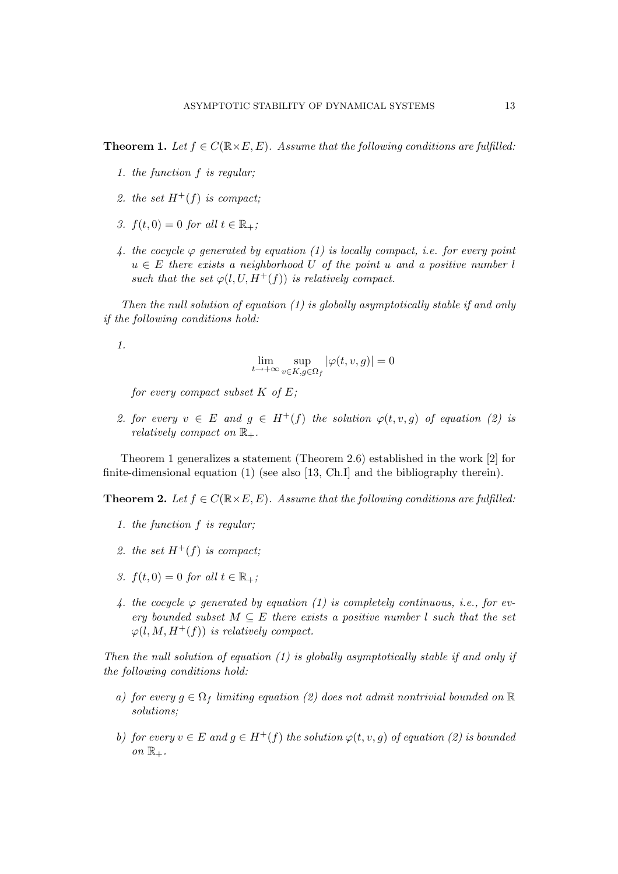**Theorem 1.** Let  $f \in C(\mathbb{R} \times E, E)$ . Assume that the following conditions are fulfilled:

- 1. the function f is regular;
- 2. the set  $H^+(f)$  is compact;
- 3.  $f(t, 0) = 0$  for all  $t \in \mathbb{R}_+$ ;
- 4. the cocycle  $\varphi$  generated by equation (1) is locally compact, i.e. for every point  $u \in E$  there exists a neighborhood U of the point u and a positive number l such that the set  $\varphi(l, U, H^+(f))$  is relatively compact.

Then the null solution of equation  $(1)$  is globally asymptotically stable if and only if the following conditions hold:

1.

$$
\lim_{t \to +\infty} \sup_{v \in K, g \in \Omega_f} |\varphi(t, v, g)| = 0
$$

for every compact subset  $K$  of  $E$ ;

2. for every  $v \in E$  and  $q \in H^+(f)$  the solution  $\varphi(t, v, q)$  of equation (2) is relatively compact on  $\mathbb{R}_+$ .

Theorem 1 generalizes a statement (Theorem 2.6) established in the work [2] for finite-dimensional equation (1) (see also [13, Ch.I] and the bibliography therein).

**Theorem 2.** Let  $f \in C(\mathbb{R} \times E, E)$ . Assume that the following conditions are fulfilled:

- 1. the function f is regular;
- 2. the set  $H^+(f)$  is compact;
- 3.  $f(t, 0) = 0$  for all  $t \in \mathbb{R}_+$ ;
- 4. the cocycle  $\varphi$  generated by equation (1) is completely continuous, i.e., for every bounded subset  $M \subseteq E$  there exists a positive number l such that the set  $\varphi(l, M, H^+(f))$  is relatively compact.

Then the null solution of equation  $(1)$  is globally asymptotically stable if and only if the following conditions hold:

- a) for every  $g \in \Omega_f$  limiting equation (2) does not admit nontrivial bounded on  $\mathbb R$ solutions;
- b) for every  $v \in E$  and  $g \in H^+(f)$  the solution  $\varphi(t, v, g)$  of equation (2) is bounded on  $\mathbb{R}_+$ .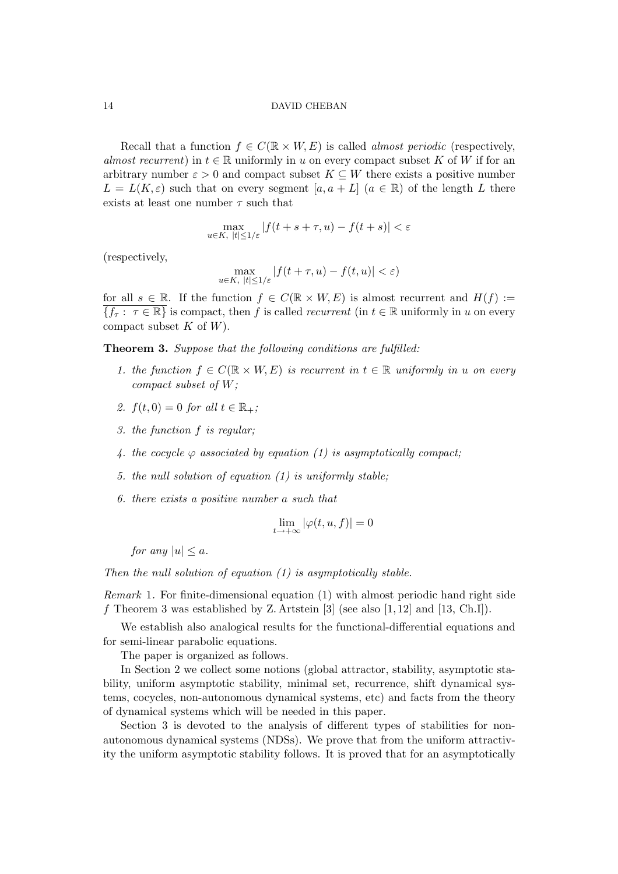Recall that a function  $f \in C(\mathbb{R} \times W, E)$  is called *almost periodic* (respectively, almost recurrent) in  $t \in \mathbb{R}$  uniformly in u on every compact subset K of W if for an arbitrary number  $\varepsilon > 0$  and compact subset  $K \subseteq W$  there exists a positive number  $L = L(K, \varepsilon)$  such that on every segment  $[a, a + L]$   $(a \in \mathbb{R})$  of the length L there exists at least one number  $\tau$  such that

$$
\max_{u \in K, \ |t| \le 1/\varepsilon} |f(t+s+\tau, u) - f(t+s)| < \varepsilon
$$

(respectively,

$$
\max_{u \in K, \ |t| \le 1/\varepsilon} |f(t+\tau, u) - f(t, u)| < \varepsilon)
$$

for all  $s \in \mathbb{R}$ . If the function  $f \in C(\mathbb{R} \times W, E)$  is almost recurrent and  $H(f) :=$  $\overline{\{f_{\tau}:\ \tau\in\mathbb{R}\}}$  is compact, then f is called *recurrent* (in  $t\in\mathbb{R}$  uniformly in u on every compact subset  $K$  of  $W$ ).

Theorem 3. Suppose that the following conditions are fulfilled:

- 1. the function  $f \in C(\mathbb{R} \times W, E)$  is recurrent in  $t \in \mathbb{R}$  uniformly in u on every compact subset of W;
- 2.  $f(t, 0) = 0$  for all  $t \in \mathbb{R}_+$ ;
- 3. the function f is regular;
- 4. the cocycle  $\varphi$  associated by equation (1) is asymptotically compact;
- 5. the null solution of equation (1) is uniformly stable;
- 6. there exists a positive number a such that

$$
\lim_{t \to +\infty} |\varphi(t, u, f)| = 0
$$

for any  $|u| \leq a$ .

Then the null solution of equation  $(1)$  is asymptotically stable.

Remark 1. For finite-dimensional equation (1) with almost periodic hand right side f Theorem 3 was established by Z. Artstein  $[3]$  (see also  $[1, 12]$  and  $[13, Ch.I]$ ).

We establish also analogical results for the functional-differential equations and for semi-linear parabolic equations.

The paper is organized as follows.

In Section 2 we collect some notions (global attractor, stability, asymptotic stability, uniform asymptotic stability, minimal set, recurrence, shift dynamical systems, cocycles, non-autonomous dynamical systems, etc) and facts from the theory of dynamical systems which will be needed in this paper.

Section 3 is devoted to the analysis of different types of stabilities for nonautonomous dynamical systems (NDSs). We prove that from the uniform attractivity the uniform asymptotic stability follows. It is proved that for an asymptotically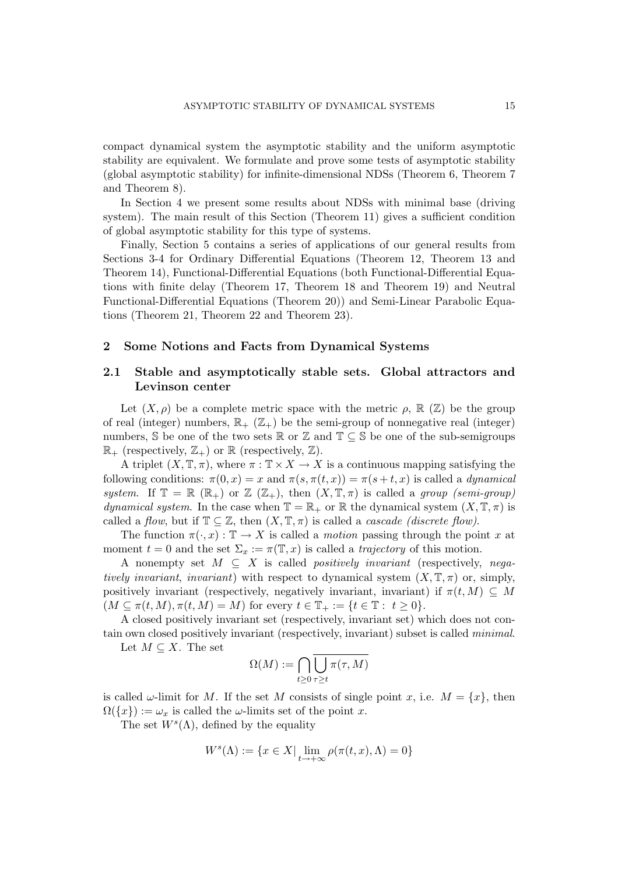compact dynamical system the asymptotic stability and the uniform asymptotic stability are equivalent. We formulate and prove some tests of asymptotic stability (global asymptotic stability) for infinite-dimensional NDSs (Theorem 6, Theorem 7 and Theorem 8).

In Section 4 we present some results about NDSs with minimal base (driving system). The main result of this Section (Theorem 11) gives a sufficient condition of global asymptotic stability for this type of systems.

Finally, Section 5 contains a series of applications of our general results from Sections 3-4 for Ordinary Differential Equations (Theorem 12, Theorem 13 and Theorem 14), Functional-Differential Equations (both Functional-Differential Equations with finite delay (Theorem 17, Theorem 18 and Theorem 19) and Neutral Functional-Differential Equations (Theorem 20)) and Semi-Linear Parabolic Equations (Theorem 21, Theorem 22 and Theorem 23).

## 2 Some Notions and Facts from Dynamical Systems

# 2.1 Stable and asymptotically stable sets. Global attractors and Levinson center

Let  $(X, \rho)$  be a complete metric space with the metric  $\rho$ ,  $\mathbb{R}(\mathbb{Z})$  be the group of real (integer) numbers,  $\mathbb{R}_+$  ( $\mathbb{Z}_+$ ) be the semi-group of nonnegative real (integer) numbers,  $\mathbb S$  be one of the two sets  $\mathbb R$  or  $\mathbb Z$  and  $\mathbb T \subseteq \mathbb S$  be one of the sub-semigroups  $\mathbb{R}_+$  (respectively,  $\mathbb{Z}_+$ ) or  $\mathbb{R}$  (respectively,  $\mathbb{Z}$ ).

A triplet  $(X, \mathbb{T}, \pi)$ , where  $\pi : \mathbb{T} \times X \to X$  is a continuous mapping satisfying the following conditions:  $\pi(0, x) = x$  and  $\pi(s, \pi(t, x)) = \pi(s + t, x)$  is called a *dynamical* system. If  $\mathbb{T} = \mathbb{R} (\mathbb{R}_+)$  or  $\mathbb{Z} (\mathbb{Z}_+),$  then  $(X, \mathbb{T}, \pi)$  is called a group (semi-group) dynamical system. In the case when  $\mathbb{T} = \mathbb{R}_+$  or  $\mathbb{R}$  the dynamical system  $(X, \mathbb{T}, \pi)$  is called a flow, but if  $\mathbb{T} \subseteq \mathbb{Z}$ , then  $(X, \mathbb{T}, \pi)$  is called a *cascade (discrete flow)*.

The function  $\pi(\cdot, x): \mathbb{T} \to X$  is called a *motion* passing through the point x at moment  $t = 0$  and the set  $\Sigma_x := \pi(\mathbb{T}, x)$  is called a *trajectory* of this motion.

A nonempty set  $M \subseteq X$  is called *positively invariant* (respectively, *nega*tively invariant, invariant) with respect to dynamical system  $(X, \mathbb{T}, \pi)$  or, simply, positively invariant (respectively, negatively invariant, invariant) if  $\pi(t, M) \subseteq M$  $(M \subseteq \pi(t, M), \pi(t, M) = M)$  for every  $t \in \mathbb{T}_+ := \{t \in \mathbb{T} : t \geq 0\}.$ 

A closed positively invariant set (respectively, invariant set) which does not contain own closed positively invariant (respectively, invariant) subset is called minimal.

Let  $M \subseteq X$ . The set

$$
\Omega(M) := \bigcap_{t \ge 0} \overline{\bigcup_{\tau \ge t} \pi(\tau, M)}
$$

is called  $\omega$ -limit for M. If the set M consists of single point x, i.e.  $M = \{x\}$ , then  $\Omega({x}) := \omega_x$  is called the  $\omega$ -limits set of the point x.

The set  $W<sup>s</sup>(\Lambda)$ , defined by the equality

$$
W^{s}(\Lambda) := \{ x \in X \mid \lim_{t \to +\infty} \rho(\pi(t, x), \Lambda) = 0 \}
$$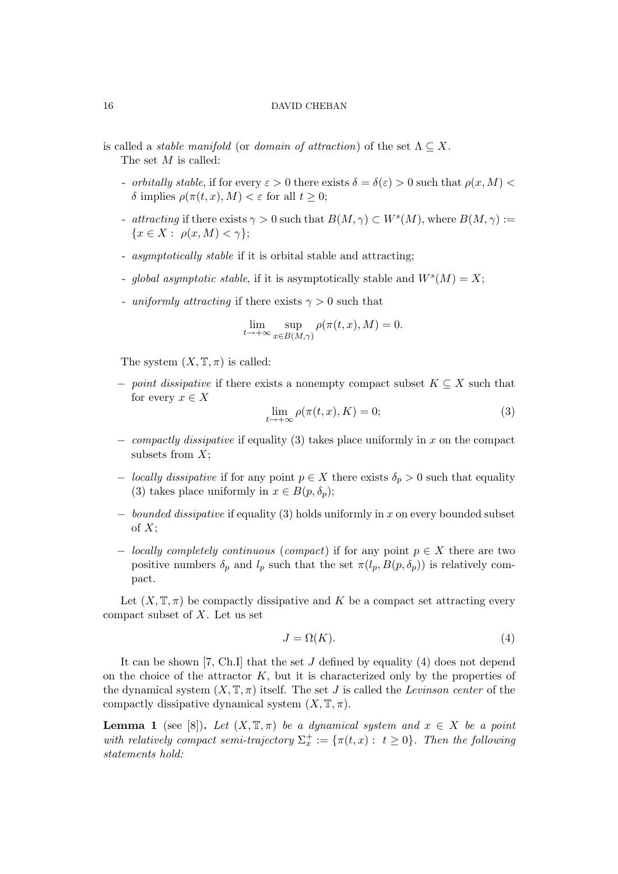is called a *stable manifold* (or *domain of attraction*) of the set  $\Lambda \subseteq X$ . The set M is called:

- orbitally stable, if for every  $\varepsilon > 0$  there exists  $\delta = \delta(\varepsilon) > 0$  such that  $\rho(x, M) <$ δ implies  $\rho(\pi(t, x), M) < \varepsilon$  for all  $t \geq 0$ ;
- attracting if there exists  $\gamma > 0$  such that  $B(M, \gamma) \subset W^s(M)$ , where  $B(M, \gamma) :=$  ${x \in X : \rho(x, M) < \gamma};$
- asymptotically stable if it is orbital stable and attracting;
- global asymptotic stable, if it is asymptotically stable and  $W<sup>s</sup>(M) = X;$
- uniformly attracting if there exists  $\gamma > 0$  such that

$$
\lim_{t \to +\infty} \sup_{x \in B(M,\gamma)} \rho(\pi(t,x),M) = 0.
$$

The system  $(X, \mathbb{T}, \pi)$  is called:

 $-point$  dissipative if there exists a nonempty compact subset  $K \subseteq X$  such that for every  $x \in X$ 

$$
\lim_{t \to +\infty} \rho(\pi(t, x), K) = 0;
$$
\n(3)

- $\sim$  compactly dissipative if equality (3) takes place uniformly in x on the compact subsets from  $X$ :
- − *locally dissipative* if for any point  $p \in X$  there exists  $\delta_p > 0$  such that equality (3) takes place uniformly in  $x \in B(p, \delta_p);$
- $-\;$  bounded dissipative if equality (3) holds uniformly in x on every bounded subset of  $X$ ;
- $\text{-}$  locally completely continuous (compact) if for any point  $p \in X$  there are two positive numbers  $\delta_p$  and  $l_p$  such that the set  $\pi(l_p, B(p, \delta_p))$  is relatively compact.

Let  $(X, \mathbb{T}, \pi)$  be compactly dissipative and K be a compact set attracting every compact subset of  $X$ . Let us set

$$
J = \Omega(K). \tag{4}
$$

It can be shown [7, Ch.I] that the set  $J$  defined by equality (4) does not depend on the choice of the attractor  $K$ , but it is characterized only by the properties of the dynamical system  $(X, \mathbb{T}, \pi)$  itself. The set J is called the Levinson center of the compactly dissipative dynamical system  $(X, \mathbb{T}, \pi)$ .

**Lemma 1** (see [8]). Let  $(X, \mathbb{T}, \pi)$  be a dynamical system and  $x \in X$  be a point with relatively compact semi-trajectory  $\Sigma_x^+ := {\pi(t,x) : t \geq 0}.$  Then the following statements hold: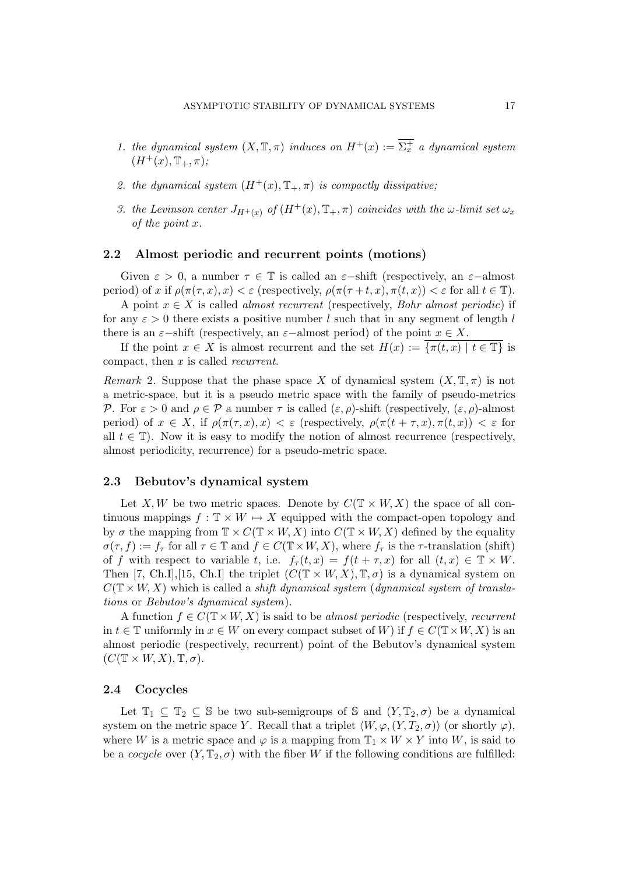- 1. the dynamical system  $(X, \mathbb{T}, \pi)$  induces on  $H^+(x) := \overline{\Sigma_x^+}$  a dynamical system  $(H^+(x), \mathbb{T}_+, \pi);$
- 2. the dynamical system  $(H^+(x), \mathbb{T}_+, \pi)$  is compactly dissipative;
- 3. the Levinson center  $J_{H^+(x)}$  of  $(H^+(x), \mathbb{T}_+, \pi)$  coincides with the  $\omega$ -limit set  $\omega_x$ of the point x.

# 2.2 Almost periodic and recurrent points (motions)

Given  $\varepsilon > 0$ , a number  $\tau \in \mathbb{T}$  is called an  $\varepsilon$ -shift (respectively, an  $\varepsilon$ -almost period) of x if  $\rho(\pi(\tau, x), x) < \varepsilon$  (respectively,  $\rho(\pi(\tau + t, x), \pi(t, x)) < \varepsilon$  for all  $t \in \mathbb{T}$ ).

A point  $x \in X$  is called *almost recurrent* (respectively, *Bohr almost periodic*) if for any  $\varepsilon > 0$  there exists a positive number l such that in any segment of length l there is an  $\varepsilon$ -shift (respectively, an  $\varepsilon$ -almost period) of the point  $x \in X$ .

If the point  $x \in X$  is almost recurrent and the set  $H(x) := \{ \pi(t, x) \mid t \in \mathbb{T} \}$  is compact, then x is called recurrent.

Remark 2. Suppose that the phase space X of dynamical system  $(X, \mathbb{T}, \pi)$  is not a metric-space, but it is a pseudo metric space with the family of pseudo-metrics P. For  $\varepsilon > 0$  and  $\rho \in \mathcal{P}$  a number  $\tau$  is called  $(\varepsilon, \rho)$ -shift (respectively,  $(\varepsilon, \rho)$ -almost period) of  $x \in X$ , if  $\rho(\pi(\tau, x), x) < \varepsilon$  (respectively,  $\rho(\pi(t + \tau, x), \pi(t, x)) < \varepsilon$  for all  $t \in \mathbb{T}$ ). Now it is easy to modify the notion of almost recurrence (respectively, almost periodicity, recurrence) for a pseudo-metric space.

# 2.3 Bebutov's dynamical system

Let X, W be two metric spaces. Denote by  $C(\mathbb{T} \times W, X)$  the space of all continuous mappings  $f : \mathbb{T} \times W \mapsto X$  equipped with the compact-open topology and by  $\sigma$  the mapping from  $\mathbb{T} \times C(\mathbb{T} \times W, X)$  into  $C(\mathbb{T} \times W, X)$  defined by the equality  $\sigma(\tau, f) := f_{\tau}$  for all  $\tau \in \mathbb{T}$  and  $f \in C(\mathbb{T} \times W, X)$ , where  $f_{\tau}$  is the  $\tau$ -translation (shift) of f with respect to variable t, i.e.  $f_{\tau}(t,x) = f(t + \tau, x)$  for all  $(t,x) \in \mathbb{T} \times W$ . Then [7, Ch.I], [15, Ch.I] the triplet  $(C(\mathbb{T} \times W, X), \mathbb{T}, \sigma)$  is a dynamical system on  $C(T \times W, X)$  which is called a *shift dynamical system (dynamical system of transla*tions or Bebutov's dynamical system).

A function  $f \in C(\mathbb{T} \times W, X)$  is said to be almost periodic (respectively, recurrent in  $t \in \mathbb{T}$  uniformly in  $x \in W$  on every compact subset of W) if  $f \in C(\mathbb{T} \times W, X)$  is an almost periodic (respectively, recurrent) point of the Bebutov's dynamical system  $(C(\mathbb{T} \times W, X), \mathbb{T}, \sigma).$ 

## 2.4 Cocycles

Let  $\mathbb{T}_1 \subseteq \mathbb{T}_2 \subseteq \mathbb{S}$  be two sub-semigroups of  $\mathbb{S}$  and  $(Y, \mathbb{T}_2, \sigma)$  be a dynamical system on the metric space Y. Recall that a triplet  $\langle W, \varphi, (Y, T_2, \sigma) \rangle$  (or shortly  $\varphi$ ), where W is a metric space and  $\varphi$  is a mapping from  $\mathbb{T}_1 \times W \times Y$  into W, is said to be a cocycle over  $(Y, \mathbb{T}_2, \sigma)$  with the fiber W if the following conditions are fulfilled: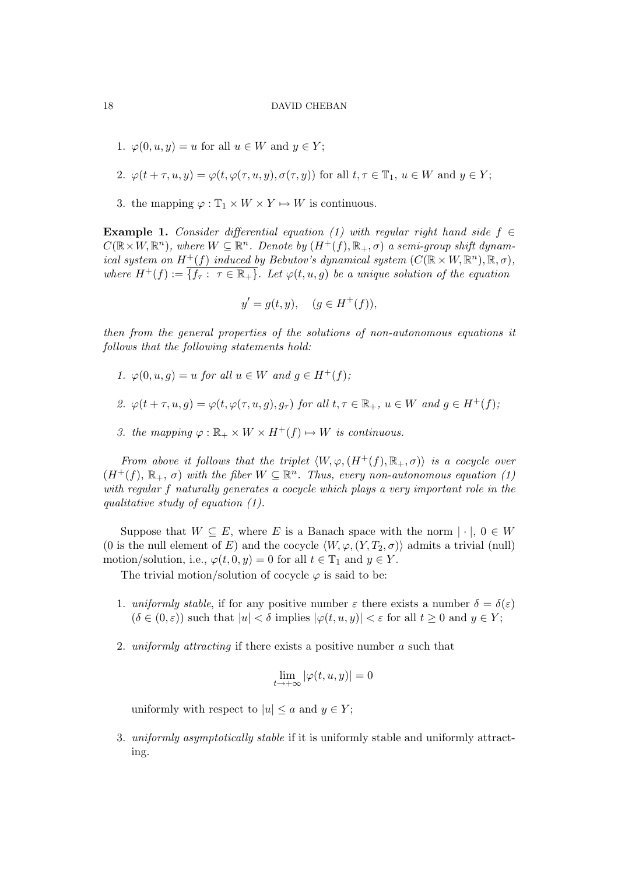- 1.  $\varphi(0, u, y) = u$  for all  $u \in W$  and  $y \in Y$ ;
- 2.  $\varphi(t+\tau, u, y) = \varphi(t, \varphi(\tau, u, y), \sigma(\tau, y))$  for all  $t, \tau \in \mathbb{T}_1$ ,  $u \in W$  and  $y \in Y$ ;
- 3. the mapping  $\varphi : \mathbb{T}_1 \times W \times Y \mapsto W$  is continuous.

**Example 1.** Consider differential equation (1) with regular right hand side  $f \in$  $C(\mathbb{R}\times W, \mathbb{R}^n)$ , where  $W \subseteq \mathbb{R}^n$ . Denote by  $(H^+(f), \mathbb{R}_+, \sigma)$  a semi-group shift dynamical system on  $H^+(f)$  induced by Bebutov's dynamical system  $(C(\mathbb{R} \times W, \mathbb{R}^n), \mathbb{R}, \sigma)$ , where  $H^+(f) := \{f_{\tau} : \tau \in \mathbb{R}_+\}$ . Let  $\varphi(t, u, g)$  be a unique solution of the equation

$$
y' = g(t, y), \quad (g \in H^+(f)),
$$

then from the general properties of the solutions of non-autonomous equations it follows that the following statements hold:

- 1.  $\varphi(0, u, g) = u$  for all  $u \in W$  and  $g \in H^+(f)$ ;
- 2.  $\varphi(t+\tau, u, q) = \varphi(t, \varphi(\tau, u, q), q_\tau)$  for all  $t, \tau \in \mathbb{R}_+$ ,  $u \in W$  and  $q \in H^+(f)$ ;
- 3. the mapping  $\varphi : \mathbb{R}_+ \times W \times H^+(f) \mapsto W$  is continuous.

From above it follows that the triplet  $\langle W, \varphi, (H^+(f), \mathbb{R}_+, \sigma) \rangle$  is a cocycle over  $(H^+(f), \mathbb{R}_+, \sigma)$  with the fiber  $W \subseteq \mathbb{R}^n$ . Thus, every non-autonomous equation (1) with regular f naturally generates a cocycle which plays a very important role in the qualitative study of equation (1).

Suppose that  $W \subseteq E$ , where E is a Banach space with the norm  $|\cdot|, 0 \in W$ (0 is the null element of E) and the cocycle  $\langle W, \varphi, (Y, T_2, \sigma) \rangle$  admits a trivial (null) motion/solution, i.e.,  $\varphi(t, 0, y) = 0$  for all  $t \in \mathbb{T}_1$  and  $y \in Y$ .

The trivial motion/solution of cocycle  $\varphi$  is said to be:

- 1. uniformly stable, if for any positive number  $\varepsilon$  there exists a number  $\delta = \delta(\varepsilon)$  $(\delta \in (0,\varepsilon))$  such that  $|u| < \delta$  implies  $|\varphi(t,u,y)| < \varepsilon$  for all  $t \geq 0$  and  $y \in Y$ ;
- 2. uniformly attracting if there exists a positive number a such that

$$
\lim_{t \to +\infty} |\varphi(t, u, y)| = 0
$$

uniformly with respect to  $|u| \le a$  and  $y \in Y$ ;

3. uniformly asymptotically stable if it is uniformly stable and uniformly attracting.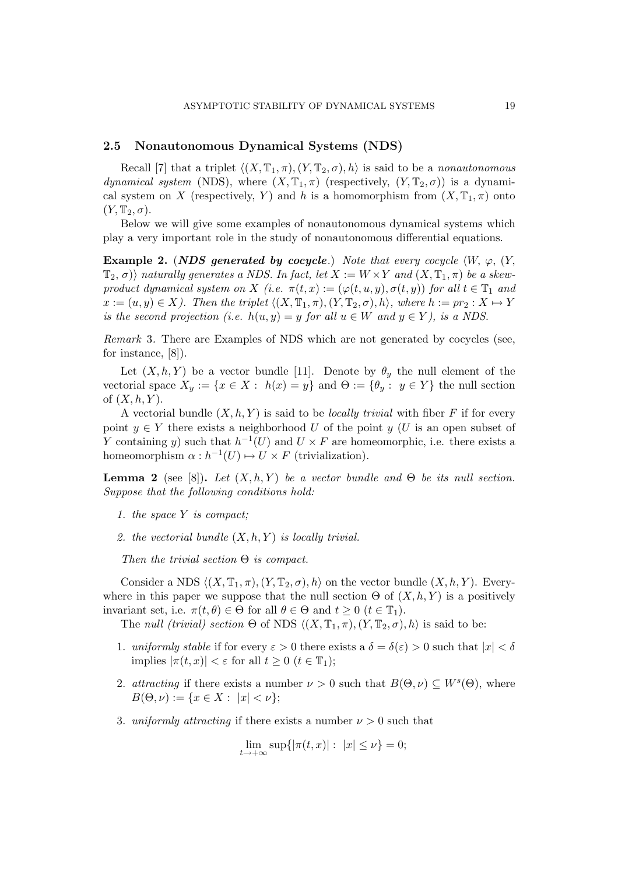# 2.5 Nonautonomous Dynamical Systems (NDS)

Recall [7] that a triplet  $\langle (X, \mathbb{T}_1, \pi), (Y, \mathbb{T}_2, \sigma), h \rangle$  is said to be a nonautonomous dynamical system (NDS), where  $(X, \mathbb{T}_1, \pi)$  (respectively,  $(Y, \mathbb{T}_2, \sigma)$ ) is a dynamical system on X (respectively, Y) and h is a homomorphism from  $(X, \mathbb{T}_1, \pi)$  onto  $(Y, \mathbb{T}_2, \sigma).$ 

Below we will give some examples of nonautonomous dynamical systems which play a very important role in the study of nonautonomous differential equations.

**Example 2.** (NDS generated by cocycle.) Note that every cocycle  $\langle W, \varphi, Y \rangle$  $\langle T_2, \sigma \rangle$  naturally generates a NDS. In fact, let  $X := W \times Y$  and  $(X, \mathbb{T}_1, \pi)$  be a skewproduct dynamical system on X (i.e.  $\pi(t,x) := (\varphi(t,u,y), \sigma(t,y))$  for all  $t \in \mathbb{T}_1$  and  $x := (u, y) \in X$ ). Then the triplet  $\langle (X, \mathbb{T}_1, \pi), (Y, \mathbb{T}_2, \sigma), h \rangle$ , where  $h := pr_2 : X \mapsto Y$ is the second projection (i.e.  $h(u, y) = y$  for all  $u \in W$  and  $y \in Y$ ), is a NDS.

Remark 3. There are Examples of NDS which are not generated by cocycles (see, for instance, [8]).

Let  $(X, h, Y)$  be a vector bundle [11]. Denote by  $\theta_{\nu}$  the null element of the vectorial space  $X_y := \{x \in X : h(x) = y\}$  and  $\Theta := \{\theta_y : y \in Y\}$  the null section of  $(X, h, Y)$ .

A vectorial bundle  $(X, h, Y)$  is said to be *locally trivial* with fiber F if for every point  $y \in Y$  there exists a neighborhood U of the point y (U is an open subset of Y containing y) such that  $h^{-1}(U)$  and  $U \times F$  are homeomorphic, i.e. there exists a homeomorphism  $\alpha : h^{-1}(U) \mapsto U \times F$  (trivialization).

**Lemma 2** (see [8]). Let  $(X, h, Y)$  be a vector bundle and  $\Theta$  be its null section. Suppose that the following conditions hold:

- 1. the space Y is compact;
- 2. the vectorial bundle  $(X, h, Y)$  is locally trivial.

Then the trivial section  $\Theta$  is compact.

Consider a NDS  $\langle (X, \mathbb{T}_1, \pi), (Y, \mathbb{T}_2, \sigma), h \rangle$  on the vector bundle  $(X, h, Y)$ . Everywhere in this paper we suppose that the null section  $\Theta$  of  $(X, h, Y)$  is a positively invariant set, i.e.  $\pi(t, \theta) \in \Theta$  for all  $\theta \in \Theta$  and  $t \geq 0$  ( $t \in \mathbb{T}_1$ ).

The null (trivial) section  $\Theta$  of NDS  $\langle (X, \mathbb{T}_1, \pi), (Y, \mathbb{T}_2, \sigma), h \rangle$  is said to be:

- 1. uniformly stable if for every  $\varepsilon > 0$  there exists a  $\delta = \delta(\varepsilon) > 0$  such that  $|x| < \delta$ implies  $|\pi(t, x)| < \varepsilon$  for all  $t \geq 0$   $(t \in \mathbb{T}_1);$
- 2. attracting if there exists a number  $\nu > 0$  such that  $B(\Theta, \nu) \subseteq W^s(\Theta)$ , where  $B(\Theta, \nu) := \{x \in X : |x| < \nu\};$
- 3. uniformly attracting if there exists a number  $\nu > 0$  such that

$$
\lim_{t \to +\infty} \sup \{ |\pi(t, x)| : |x| \le \nu \} = 0;
$$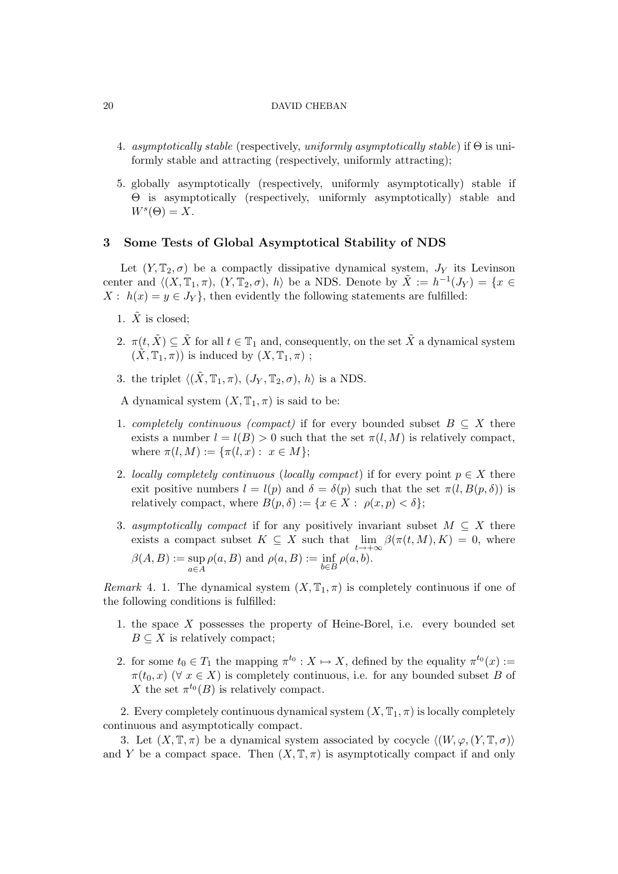- 4. asymptotically stable (respectively, uniformly asymptotically stable) if  $\Theta$  is uniformly stable and attracting (respectively, uniformly attracting);
- 5. globally asymptotically (respectively, uniformly asymptotically) stable if Θ is asymptotically (respectively, uniformly asymptotically) stable and  $W^s(\Theta) = X.$

# 3 Some Tests of Global Asymptotical Stability of NDS

Let  $(Y, \mathbb{T}_2, \sigma)$  be a compactly dissipative dynamical system,  $J_Y$  its Levinson center and  $\langle (X, \mathbb{T}_1, \pi), (Y, \mathbb{T}_2, \sigma), h \rangle$  be a NDS. Denote by  $\tilde{X} := h^{-1}(J_Y) = \{x \in$  $X: h(x) = y \in J_Y$ , then evidently the following statements are fulfilled:

- 1.  $\tilde{X}$  is closed;
- 2.  $\pi(t, \tilde{X}) \subseteq \tilde{X}$  for all  $t \in \mathbb{T}_1$  and, consequently, on the set  $\tilde{X}$  a dynamical system  $(\tilde{X}, \mathbb{T}_1, \pi)$  is induced by  $(X, \mathbb{T}_1, \pi)$ ;
- 3. the triplet  $\langle (\tilde{X}, \mathbb{T}_1, \pi), (J_Y, \mathbb{T}_2, \sigma), h \rangle$  is a NDS.

A dynamical system  $(X, \mathbb{T}_1, \pi)$  is said to be:

- 1. completely continuous (compact) if for every bounded subset  $B \subseteq X$  there exists a number  $l = l(B) > 0$  such that the set  $\pi(l, M)$  is relatively compact, where  $\pi(l, M) := {\pi(l, x) : x \in M};$
- 2. locally completely continuous (locally compact) if for every point  $p \in X$  there exit positive numbers  $l = l(p)$  and  $\delta = \delta(p)$  such that the set  $\pi(l, B(p, \delta))$  is relatively compact, where  $B(p, \delta) := \{x \in X : \rho(x, p) < \delta\};$
- 3. asymptotically compact if for any positively invariant subset  $M \subseteq X$  there exists a compact subset  $K \subseteq X$  such that  $\lim_{t \to +\infty} \beta(\pi(t,M), K) = 0$ , where

$$
\beta(A, B) := \sup_{a \in A} \rho(a, B) \text{ and } \rho(a, B) := \inf_{b \in B} \rho(a, b).
$$

Remark 4. 1. The dynamical system  $(X, \mathbb{T}_1, \pi)$  is completely continuous if one of the following conditions is fulfilled:

- 1. the space  $X$  possesses the property of Heine-Borel, i.e. every bounded set  $B \subseteq X$  is relatively compact;
- 2. for some  $t_0 \in T_1$  the mapping  $\pi^{t_0}: X \mapsto X$ , defined by the equality  $\pi^{t_0}(x) :=$  $\pi(t_0, x)$  ( $\forall x \in X$ ) is completely continuous, i.e. for any bounded subset B of X the set  $\pi^{t_0}(B)$  is relatively compact.

2. Every completely continuous dynamical system  $(X, \mathbb{T}_1, \pi)$  is locally completely continuous and asymptotically compact.

3. Let  $(X, \mathbb{T}, \pi)$  be a dynamical system associated by cocycle  $\langle (W, \varphi, (Y, \mathbb{T}, \sigma))$ and Y be a compact space. Then  $(X, \mathbb{T}, \pi)$  is asymptotically compact if and only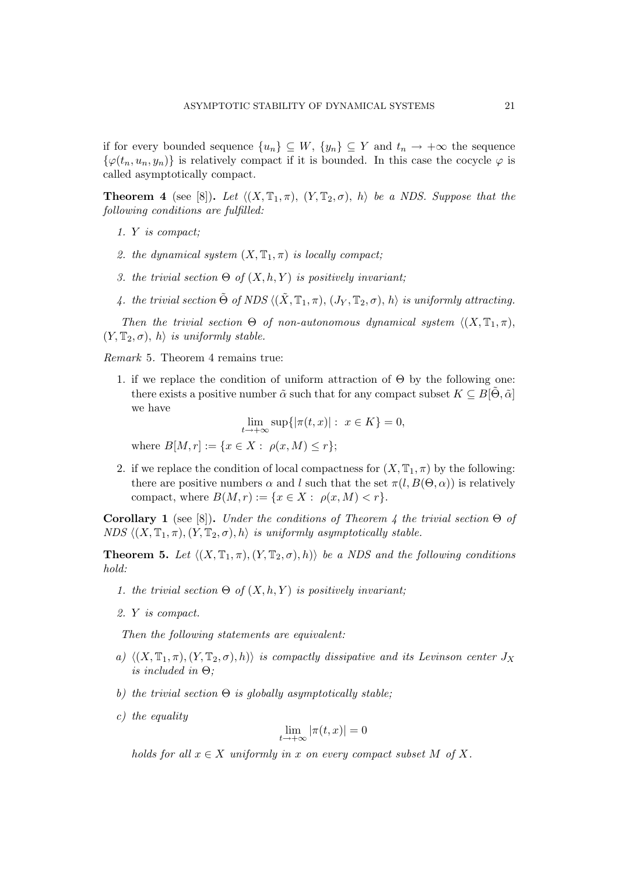if for every bounded sequence  $\{u_n\} \subseteq W$ ,  $\{y_n\} \subseteq Y$  and  $t_n \to +\infty$  the sequence  $\{\varphi(t_n, u_n, y_n)\}\$ is relatively compact if it is bounded. In this case the cocycle  $\varphi$  is called asymptotically compact.

**Theorem 4** (see [8]). Let  $\langle (X, \mathbb{T}_1, \pi), (Y, \mathbb{T}_2, \sigma), h \rangle$  be a NDS. Suppose that the following conditions are fulfilled:

- 1. Y is compact;
- 2. the dynamical system  $(X, \mathbb{T}_1, \pi)$  is locally compact;
- 3. the trivial section  $\Theta$  of  $(X, h, Y)$  is positively invariant;
- 4. the trivial section  $\tilde{\Theta}$  of NDS  $\langle (\tilde{X}, \mathbb{T}_1, \pi), (J_Y, \mathbb{T}_2, \sigma), h \rangle$  is uniformly attracting.

Then the trivial section  $\Theta$  of non-autonomous dynamical system  $\langle (X, \mathbb{T}_1, \pi),$  $(Y, \mathbb{T}_2, \sigma), h \rangle$  is uniformly stable.

Remark 5. Theorem 4 remains true:

1. if we replace the condition of uniform attraction of  $\Theta$  by the following one: there exists a positive number  $\tilde{\alpha}$  such that for any compact subset  $K \subseteq B[\Theta, \tilde{\alpha}]$ we have

 $\lim_{t \to +\infty} \sup\{|\pi(t,x)| : x \in K\} = 0,$ 

where  $B[M, r] := \{x \in X : \rho(x, M) \le r\};$ 

2. if we replace the condition of local compactness for  $(X, \mathbb{T}_1, \pi)$  by the following: there are positive numbers  $\alpha$  and l such that the set  $\pi(l, B(\Theta, \alpha))$  is relatively compact, where  $B(M, r) := \{x \in X : \rho(x, M) < r\}.$ 

Corollary 1 (see [8]). Under the conditions of Theorem 4 the trivial section  $\Theta$  of NDS  $\langle (X, \mathbb{T}_1, \pi), (Y, \mathbb{T}_2, \sigma), h \rangle$  is uniformly asymptotically stable.

**Theorem 5.** Let  $\langle (X, \mathbb{T}_1, \pi), (Y, \mathbb{T}_2, \sigma), h \rangle$  be a NDS and the following conditions hold:

- 1. the trivial section  $\Theta$  of  $(X, h, Y)$  is positively invariant;
- 2. Y is compact.

Then the following statements are equivalent:

- a)  $\langle (X, \mathbb{T}_1, \pi), (Y, \mathbb{T}_2, \sigma), h \rangle$  is compactly dissipative and its Levinson center  $J_X$ is included in  $\Theta$ ;
- b) the trivial section  $\Theta$  is globally asymptotically stable;
- c) the equality

$$
\lim_{t \to +\infty} |\pi(t, x)| = 0
$$

holds for all  $x \in X$  uniformly in x on every compact subset M of X.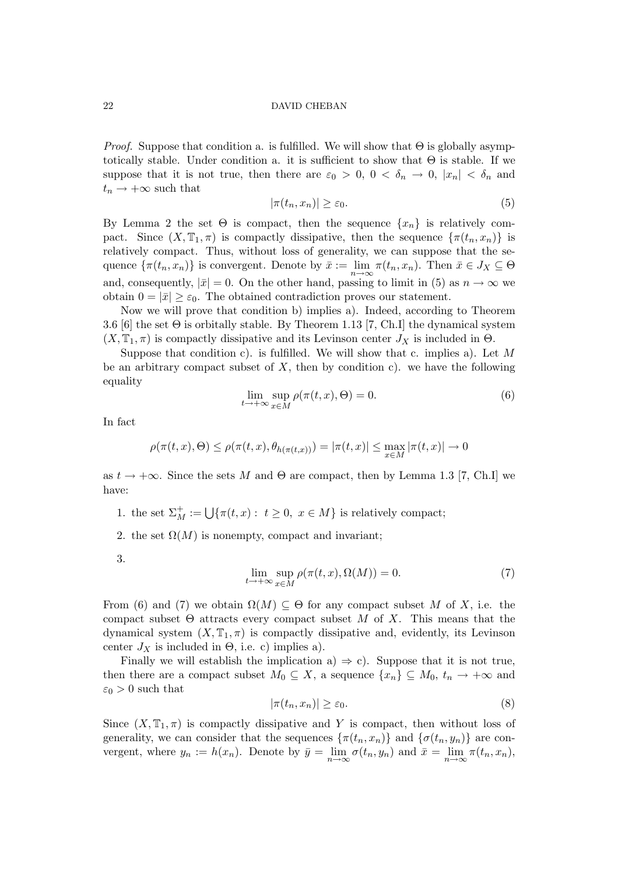*Proof.* Suppose that condition a. is fulfilled. We will show that  $\Theta$  is globally asymptotically stable. Under condition a. it is sufficient to show that  $\Theta$  is stable. If we suppose that it is not true, then there are  $\varepsilon_0 > 0$ ,  $0 < \delta_n \to 0$ ,  $|x_n| < \delta_n$  and  $t_n \rightarrow +\infty$  such that

$$
|\pi(t_n, x_n)| \ge \varepsilon_0. \tag{5}
$$

By Lemma 2 the set  $\Theta$  is compact, then the sequence  $\{x_n\}$  is relatively compact. Since  $(X, \mathbb{T}_1, \pi)$  is compactly dissipative, then the sequence  $\{\pi(t_n, x_n)\}\$ is relatively compact. Thus, without loss of generality, we can suppose that the sequence  $\{\pi(t_n, x_n)\}\)$  is convergent. Denote by  $\bar{x} := \lim_{n \to \infty} \pi(t_n, x_n)$ . Then  $\bar{x} \in J_X \subseteq \Theta$ and, consequently,  $|\bar{x}| = 0$ . On the other hand, passing to limit in (5) as  $n \to \infty$  we obtain  $0 = |\bar{x}| \geq \varepsilon_0$ . The obtained contradiction proves our statement.

Now we will prove that condition b) implies a). Indeed, according to Theorem 3.6 [6] the set Θ is orbitally stable. By Theorem 1.13 [7, Ch.I] the dynamical system  $(X, \mathbb{T}_1, \pi)$  is compactly dissipative and its Levinson center  $J_X$  is included in  $\Theta$ .

Suppose that condition c). is fulfilled. We will show that c. implies a). Let  $M$ be an arbitrary compact subset of  $X$ , then by condition c). we have the following equality

$$
\lim_{t \to +\infty} \sup_{x \in M} \rho(\pi(t, x), \Theta) = 0.
$$
\n(6)

In fact

$$
\rho(\pi(t,x),\Theta) \leq \rho(\pi(t,x),\theta_{h(\pi(t,x))}) = |\pi(t,x)| \leq \max_{x \in M} |\pi(t,x)| \to 0
$$

as  $t \to +\infty$ . Since the sets M and  $\Theta$  are compact, then by Lemma 1.3 [7, Ch.I] we have:

- 1. the set  $\Sigma_M^+ := \bigcup \{ \pi(t, x) : t \geq 0, x \in M \}$  is relatively compact;
- 2. the set  $\Omega(M)$  is nonempty, compact and invariant;

3.

$$
\lim_{t \to +\infty} \sup_{x \in M} \rho(\pi(t, x), \Omega(M)) = 0.
$$
\n(7)

From (6) and (7) we obtain  $\Omega(M) \subseteq \Theta$  for any compact subset M of X, i.e. the compact subset  $\Theta$  attracts every compact subset M of X. This means that the dynamical system  $(X, \mathbb{T}_1, \pi)$  is compactly dissipative and, evidently, its Levinson center  $J_X$  is included in  $\Theta$ , i.e. c) implies a).

Finally we will establish the implication a)  $\Rightarrow$  c). Suppose that it is not true, then there are a compact subset  $M_0 \subseteq X$ , a sequence  $\{x_n\} \subseteq M_0$ ,  $t_n \to +\infty$  and  $\varepsilon_0 > 0$  such that

$$
|\pi(t_n, x_n)| \ge \varepsilon_0. \tag{8}
$$

Since  $(X, \mathbb{T}_1, \pi)$  is compactly dissipative and Y is compact, then without loss of generality, we can consider that the sequences  $\{\pi(t_n, x_n)\}\$ and  $\{\sigma(t_n, y_n)\}\$ are convergent, where  $y_n := h(x_n)$ . Denote by  $\bar{y} = \lim_{n \to \infty} \sigma(t_n, y_n)$  and  $\bar{x} = \lim_{n \to \infty} \pi(t_n, x_n)$ ,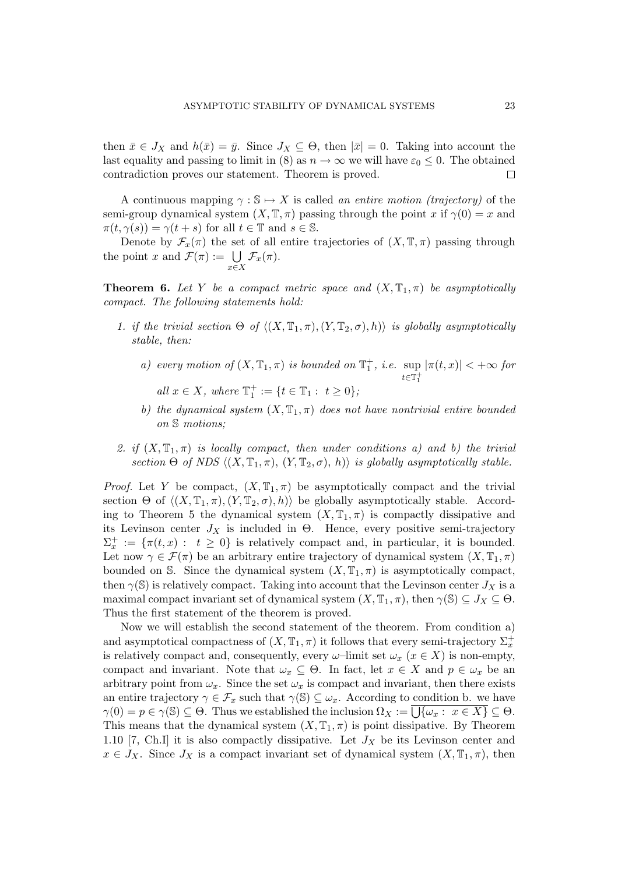then  $\bar{x} \in J_X$  and  $h(\bar{x}) = \bar{y}$ . Since  $J_X \subseteq \Theta$ , then  $|\bar{x}| = 0$ . Taking into account the last equality and passing to limit in (8) as  $n \to \infty$  we will have  $\varepsilon_0 \leq 0$ . The obtained contradiction proves our statement. Theorem is proved.  $\Box$ 

A continuous mapping  $\gamma : \mathbb{S} \mapsto X$  is called an entire motion (trajectory) of the semi-group dynamical system  $(X, \mathbb{T}, \pi)$  passing through the point x if  $\gamma(0) = x$  and  $\pi(t, \gamma(s)) = \gamma(t+s)$  for all  $t \in \mathbb{T}$  and  $s \in \mathbb{S}$ .

Denote by  $\mathcal{F}_x(\pi)$  the set of all entire trajectories of  $(X, \mathbb{T}, \pi)$  passing through Denote by  $\mathcal{F}_x(\pi)$  the set<br>the point x and  $\mathcal{F}(\pi) := \bigcup$ x∈X  $\mathcal{F}_x(\pi).$ 

**Theorem 6.** Let Y be a compact metric space and  $(X, \mathbb{T}_1, \pi)$  be asymptotically compact. The following statements hold:

- 1. if the trivial section  $\Theta$  of  $\langle (X, \mathbb{T}_1, \pi), (Y, \mathbb{T}_2, \sigma), h \rangle$  is globally asymptotically stable, then:
	- a) every motion of  $(X, \mathbb{T}_1, \pi)$  is bounded on  $\mathbb{T}_1^+$ , i.e. sup  $t \in T_1^+$  $|\pi(t, x)| < +\infty$  for all  $x \in X$ , where  $\mathbb{T}_1^+ := \{ t \in \mathbb{T}_1 : t \ge 0 \}$ ;
	- b) the dynamical system  $(X, \mathbb{T}_1, \pi)$  does not have nontrivial entire bounded

on S motions;

2. if  $(X, \mathbb{T}_1, \pi)$  is locally compact, then under conditions a) and b) the trivial section Θ of NDS  $\langle (X, \mathbb{T}_1, \pi), (Y, \mathbb{T}_2, \sigma), h \rangle$  is globally asymptotically stable.

*Proof.* Let Y be compact,  $(X, \mathbb{T}_1, \pi)$  be asymptotically compact and the trivial section  $\Theta$  of  $\langle (X, \mathbb{T}_1, \pi), (Y, \mathbb{T}_2, \sigma), h \rangle$  be globally asymptotically stable. According to Theorem 5 the dynamical system  $(X, \mathbb{T}_1, \pi)$  is compactly dissipative and its Levinson center  $J_X$  is included in  $\Theta$ . Hence, every positive semi-trajectory  $\Sigma_x^+ := \{\pi(t,x) : t \geq 0\}$  is relatively compact and, in particular, it is bounded. Let now  $\gamma \in \mathcal{F}(\pi)$  be an arbitrary entire trajectory of dynamical system  $(X, \mathbb{T}_1, \pi)$ bounded on S. Since the dynamical system  $(X, \mathbb{T}_1, \pi)$  is asymptotically compact, then  $\gamma(\mathbb{S})$  is relatively compact. Taking into account that the Levinson center  $J_X$  is a maximal compact invariant set of dynamical system  $(X, \mathbb{T}_1, \pi)$ , then  $\gamma(\mathbb{S}) \subseteq J_X \subseteq \Theta$ . Thus the first statement of the theorem is proved.

Now we will establish the second statement of the theorem. From condition a) and asymptotical compactness of  $(X, \mathbb{T}_1, \pi)$  it follows that every semi-trajectory  $\Sigma_x^+$ is relatively compact and, consequently, every  $\omega$ –limit set  $\omega_x$  ( $x \in X$ ) is non-empty, compact and invariant. Note that  $\omega_x \subseteq \Theta$ . In fact, let  $x \in X$  and  $p \in \omega_x$  be an arbitrary point from  $\omega_x$ . Since the set  $\omega_x$  is compact and invariant, then there exists an entire trajectory  $\gamma \in \mathcal{F}_x$  such that  $\gamma(\mathbb{S}) \subseteq \omega_x$ . According to condition b. we have an entrie trajectory  $\gamma \in \mathcal{F}_x$  such that  $\gamma(s) \subseteq \omega_x$ . According to condition b. we have  $\gamma(0) = p \in \gamma(\mathbb{S}) \subseteq \Theta$ . Thus we established the inclusion  $\Omega_x := \overline{\bigcup \{\omega_x : x \in X\}} \subseteq \Theta$ . This means that the dynamical system  $(X, T_1, \pi)$  is point dissipative. By Theorem 1.10 [7, Ch.I] it is also compactly dissipative. Let  $J_X$  be its Levinson center and  $x \in J_X$ . Since  $J_X$  is a compact invariant set of dynamical system  $(X, \mathbb{T}_1, \pi)$ , then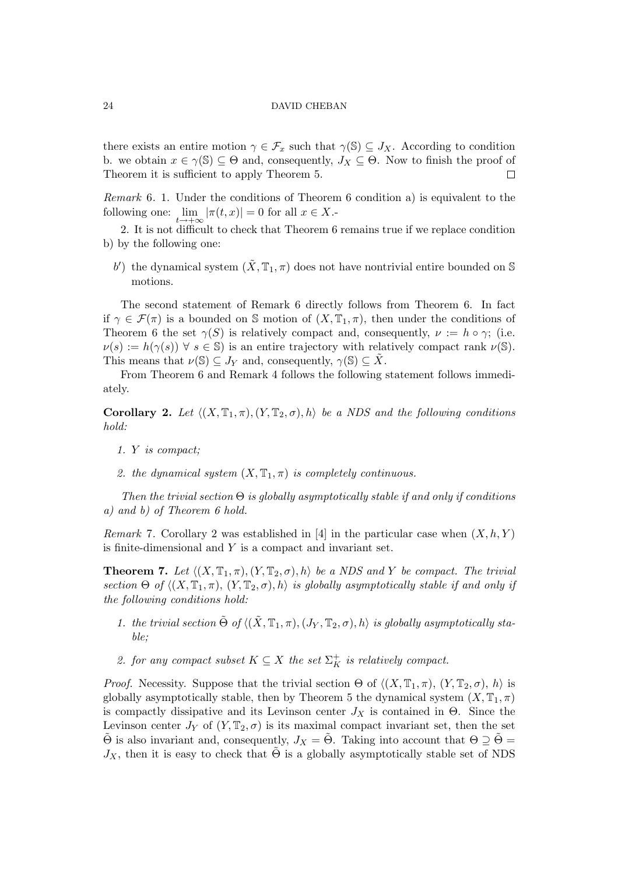there exists an entire motion  $\gamma \in \mathcal{F}_x$  such that  $\gamma(\mathbb{S}) \subseteq J_x$ . According to condition b. we obtain  $x \in \gamma(\mathbb{S}) \subseteq \Theta$  and, consequently,  $J_X \subseteq \Theta$ . Now to finish the proof of Theorem it is sufficient to apply Theorem 5. П

Remark 6. 1. Under the conditions of Theorem 6 condition a) is equivalent to the following one:  $\lim_{t \to +\infty} |\pi(t, x)| = 0$  for all  $x \in X$ .

2. It is not difficult to check that Theorem 6 remains true if we replace condition b) by the following one:

b') the dynamical system  $(\tilde{X}, \mathbb{T}_1, \pi)$  does not have nontrivial entire bounded on S motions.

The second statement of Remark 6 directly follows from Theorem 6. In fact if  $\gamma \in \mathcal{F}(\pi)$  is a bounded on S motion of  $(X, \mathbb{T}_1, \pi)$ , then under the conditions of Theorem 6 the set  $\gamma(S)$  is relatively compact and, consequently,  $\nu := h \circ \gamma$ ; (i.e.  $\nu(s) := h(\gamma(s)) \ \forall \ s \in \mathbb{S}$  is an entire trajectory with relatively compact rank  $\nu(\mathbb{S})$ . This means that  $\nu(\mathbb{S}) \subset J_Y$  and, consequently,  $\gamma(\mathbb{S}) \subset \overline{X}$ .

From Theorem 6 and Remark 4 follows the following statement follows immediately.

**Corollary 2.** Let  $\langle (X, \mathbb{T}_1, \pi), (Y, \mathbb{T}_2, \sigma), h \rangle$  be a NDS and the following conditions hold:

- 1. Y is compact;
- 2. the dynamical system  $(X, \mathbb{T}_1, \pi)$  is completely continuous.

Then the trivial section  $\Theta$  is globally asymptotically stable if and only if conditions a) and b) of Theorem 6 hold.

*Remark* 7. Corollary 2 was established in [4] in the particular case when  $(X, h, Y)$ is finite-dimensional and Y is a compact and invariant set.

**Theorem 7.** Let  $\langle (X, \mathbb{T}_1, \pi), (Y, \mathbb{T}_2, \sigma), h \rangle$  be a NDS and Y be compact. The trivial section Θ of  $\langle (X, \mathbb{T}_1, \pi), (Y, \mathbb{T}_2, \sigma), h \rangle$  is globally asymptotically stable if and only if the following conditions hold:

- 1. the trivial section  $\tilde{\Theta}$  of  $\langle (\tilde{X}, \mathbb{T}_1, \pi), (J_Y, \mathbb{T}_2, \sigma), h \rangle$  is globally asymptotically stable;
- 2. for any compact subset  $K \subseteq X$  the set  $\Sigma_K^+$  is relatively compact.

*Proof.* Necessity. Suppose that the trivial section  $\Theta$  of  $\langle (X, \mathbb{T}_1, \pi), (Y, \mathbb{T}_2, \sigma), h \rangle$  is globally asymptotically stable, then by Theorem 5 the dynamical system  $(X, \mathbb{T}_1, \pi)$ is compactly dissipative and its Levinson center  $J_X$  is contained in  $\Theta$ . Since the Levinson center  $J_Y$  of  $(Y, \mathbb{T}_2, \sigma)$  is its maximal compact invariant set, then the set  $\Theta$  is also invariant and, consequently,  $J_X = \Theta$ . Taking into account that  $\Theta \supseteq \Theta =$  $J_X$ , then it is easy to check that  $\Theta$  is a globally asymptotically stable set of NDS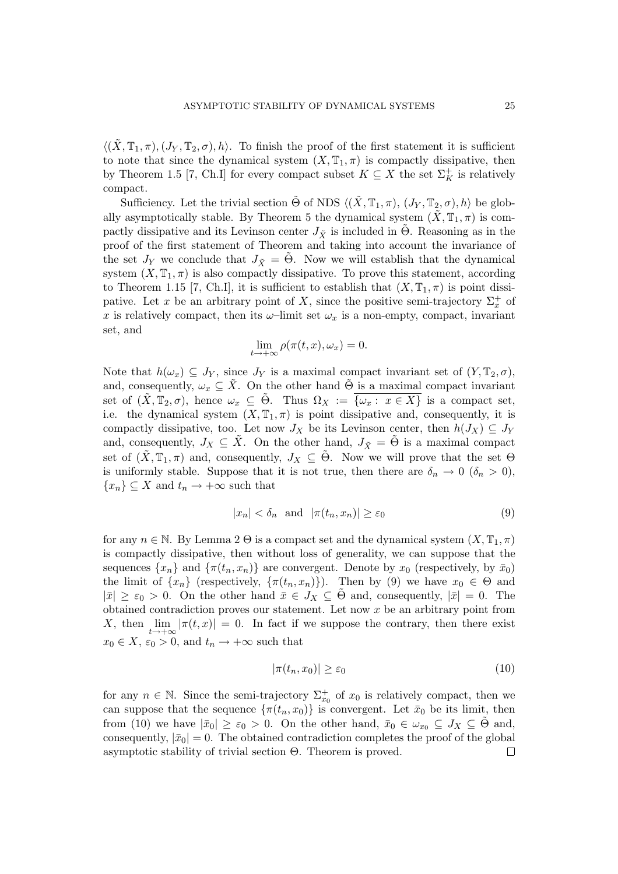$\langle (\tilde{X}, \mathbb{T}_1, \pi), (J_Y, \mathbb{T}_2, \sigma), h \rangle$ . To finish the proof of the first statement it is sufficient to note that since the dynamical system  $(X, \mathbb{T}_1, \pi)$  is compactly dissipative, then by Theorem 1.5 [7, Ch.I] for every compact subset  $K \subseteq X$  the set  $\Sigma_K^+$  is relatively compact.

Sufficiency. Let the trivial section  $\tilde{\Theta}$  of NDS  $\langle (\tilde{X}, \mathbb{T}_1, \pi), (J_Y, \mathbb{T}_2, \sigma), h \rangle$  be globally asymptotically stable. By Theorem 5 the dynamical system  $(X, \mathbb{T}_1, \pi)$  is compactly dissipative and its Levinson center  $J_{\tilde{X}}$  is included in Θ. Reasoning as in the proof of the first statement of Theorem and taking into account the invariance of the set  $J_Y$  we conclude that  $J_{\tilde{X}} = \Theta$ . Now we will establish that the dynamical system  $(X, \mathbb{T}_1, \pi)$  is also compactly dissipative. To prove this statement, according to Theorem 1.15 [7, Ch.I], it is sufficient to establish that  $(X, \mathbb{T}_1, \pi)$  is point dissipative. Let x be an arbitrary point of X, since the positive semi-trajectory  $\Sigma_x^+$  of x is relatively compact, then its  $\omega$ -limit set  $\omega_x$  is a non-empty, compact, invariant set, and

$$
\lim_{t \to +\infty} \rho(\pi(t, x), \omega_x) = 0.
$$

Note that  $h(\omega_x) \subseteq J_Y$ , since  $J_Y$  is a maximal compact invariant set of  $(Y, \mathbb{T}_2, \sigma)$ , and, consequently,  $\omega_x \subseteq \overline{X}$ . On the other hand  $\Theta$  is a maximal compact invariant set of  $(\tilde{X}, \mathbb{T}_2, \sigma)$ , hence  $\omega_x \subseteq \tilde{\Theta}$ . Thus  $\Omega_X := \overline{\{\omega_x : x \in X\}}$  is a compact set, i.e. the dynamical system  $(X, \mathbb{T}_1, \pi)$  is point dissipative and, consequently, it is compactly dissipative, too. Let now  $J_X$  be its Levinson center, then  $h(J_X) \subseteq J_Y$ and, consequently,  $J_X \subseteq \tilde{X}$ . On the other hand,  $J_{\tilde{X}} = \tilde{\Theta}$  is a maximal compact set of  $(X, \mathbb{T}_1, \pi)$  and, consequently,  $J_X \subseteq \Theta$ . Now we will prove that the set  $\Theta$ is uniformly stable. Suppose that it is not true, then there are  $\delta_n \to 0$  ( $\delta_n > 0$ ),  ${x_n} \subseteq X$  and  $t_n \to +\infty$  such that

$$
|x_n| < \delta_n \quad \text{and} \quad |\pi(t_n, x_n)| \ge \varepsilon_0 \tag{9}
$$

for any  $n \in \mathbb{N}$ . By Lemma 2  $\Theta$  is a compact set and the dynamical system  $(X, \mathbb{T}_1, \pi)$ is compactly dissipative, then without loss of generality, we can suppose that the sequences  $\{x_n\}$  and  $\{\pi(t_n, x_n)\}\$  are convergent. Denote by  $x_0$  (respectively, by  $\bar{x}_0$ ) the limit of  $\{x_n\}$  (respectively,  $\{\pi(t_n, x_n)\}\)$ ). Then by (9) we have  $x_0 \in \Theta$  and  $|\bar{x}| \geq \varepsilon_0 > 0$ . On the other hand  $\bar{x} \in J_X \subseteq \Theta$  and, consequently,  $|\bar{x}| = 0$ . The obtained contradiction proves our statement. Let now  $x$  be an arbitrary point from X, then  $\lim_{t\to+\infty}|\pi(t,x)|=0$ . In fact if we suppose the contrary, then there exist  $x_0 \in X$ ,  $\varepsilon_0 > 0$ , and  $t_n \to +\infty$  such that

$$
|\pi(t_n, x_0)| \ge \varepsilon_0 \tag{10}
$$

for any  $n \in \mathbb{N}$ . Since the semi-trajectory  $\Sigma_{x_0}^+$  of  $x_0$  is relatively compact, then we can suppose that the sequence  $\{\pi(t_n, x_0)\}\$ is convergent. Let  $\bar{x}_0$  be its limit, then from (10) we have  $|\bar{x}_0| \geq \varepsilon_0 > 0$ . On the other hand,  $\bar{x}_0 \in \omega_{x_0} \subseteq J_X \subseteq \Theta$  and, consequently,  $|\bar{x}_0| = 0$ . The obtained contradiction completes the proof of the global asymptotic stability of trivial section Θ. Theorem is proved.П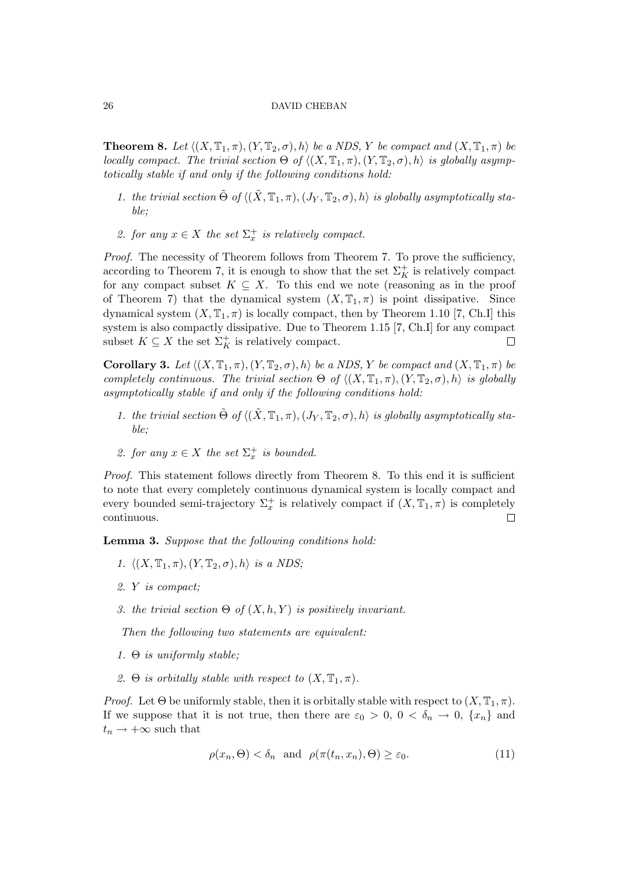**Theorem 8.** Let  $\langle (X, \mathbb{T}_1, \pi), (Y, \mathbb{T}_2, \sigma), h \rangle$  be a NDS, Y be compact and  $(X, \mathbb{T}_1, \pi)$  be locally compact. The trivial section  $\Theta$  of  $\langle (X, \mathbb{T}_1, \pi), (Y, \mathbb{T}_2, \sigma), h \rangle$  is globally asymptotically stable if and only if the following conditions hold:

- 1. the trivial section  $\tilde{\Theta}$  of  $\langle (\tilde{X}, \mathbb{T}_1, \pi), (J_Y, \mathbb{T}_2, \sigma), h \rangle$  is globally asymptotically stable;
- 2. for any  $x \in X$  the set  $\Sigma_x^+$  is relatively compact.

Proof. The necessity of Theorem follows from Theorem 7. To prove the sufficiency, according to Theorem 7, it is enough to show that the set  $\Sigma_K^+$  is relatively compact for any compact subset  $K \subseteq X$ . To this end we note (reasoning as in the proof of Theorem 7) that the dynamical system  $(X, \mathbb{T}_1, \pi)$  is point dissipative. Since dynamical system  $(X, \mathbb{T}_1, \pi)$  is locally compact, then by Theorem 1.10 [7, Ch.I] this system is also compactly dissipative. Due to Theorem 1.15 [7, Ch.I] for any compact subset  $K \subseteq X$  the set  $\Sigma_K^+$  is relatively compact.  $\Box$ 

**Corollary 3.** Let  $\langle (X, \mathbb{T}_1, \pi), (Y, \mathbb{T}_2, \sigma), h \rangle$  be a NDS, Y be compact and  $(X, \mathbb{T}_1, \pi)$  be completely continuous. The trivial section  $\Theta$  of  $\langle (X, \mathbb{T}_1, \pi), (Y, \mathbb{T}_2, \sigma), h \rangle$  is globally asymptotically stable if and only if the following conditions hold:

- 1. the trivial section  $\tilde{\Theta}$  of  $\langle (\tilde{X}, \mathbb{T}_1, \pi), (J_Y, \mathbb{T}_2, \sigma), h \rangle$  is globally asymptotically stable;
- 2. for any  $x \in X$  the set  $\Sigma_x^+$  is bounded.

Proof. This statement follows directly from Theorem 8. To this end it is sufficient to note that every completely continuous dynamical system is locally compact and every bounded semi-trajectory  $\Sigma_x^+$  is relatively compact if  $(X, \mathbb{T}_1, \pi)$  is completely continuous.  $\Box$ 

Lemma 3. Suppose that the following conditions hold:

- 1.  $\langle (X, \mathbb{T}_1, \pi), (Y, \mathbb{T}_2, \sigma), h \rangle$  is a NDS;
- 2. Y is compact;
- 3. the trivial section  $\Theta$  of  $(X, h, Y)$  is positively invariant.

Then the following two statements are equivalent:

- 1.  $\Theta$  is uniformly stable;
- 2. Θ is orbitally stable with respect to  $(X, \mathbb{T}_1, \pi)$ .

*Proof.* Let  $\Theta$  be uniformly stable, then it is orbitally stable with respect to  $(X, \mathbb{T}_1, \pi)$ . If we suppose that it is not true, then there are  $\varepsilon_0 > 0$ ,  $0 < \delta_n \to 0$ ,  $\{x_n\}$  and  $t_n \rightarrow +\infty$  such that

$$
\rho(x_n, \Theta) < \delta_n \quad \text{and} \quad \rho(\pi(t_n, x_n), \Theta) \ge \varepsilon_0. \tag{11}
$$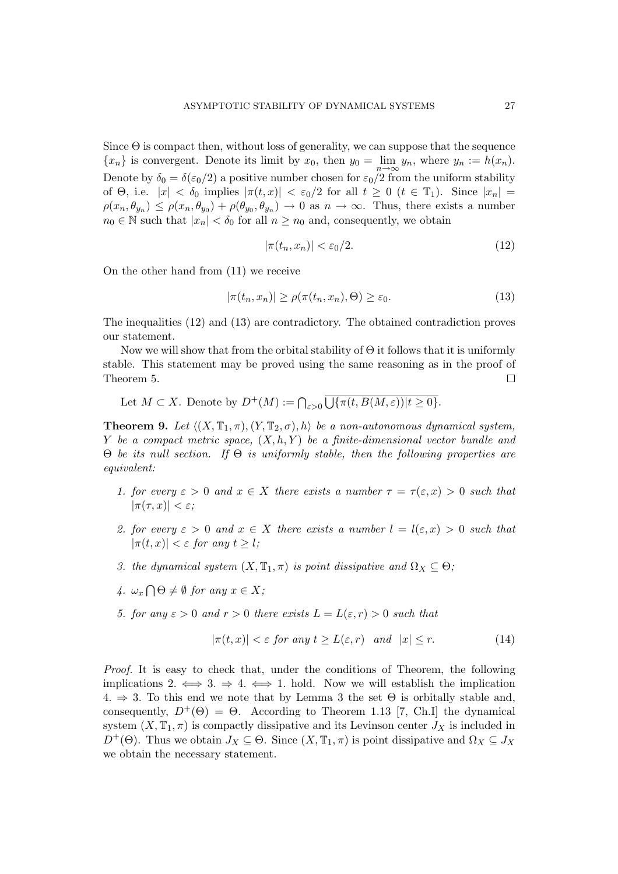Since  $\Theta$  is compact then, without loss of generality, we can suppose that the sequence  $\{x_n\}$  is convergent. Denote its limit by  $x_0$ , then  $y_0 = \lim_{n \to \infty} y_n$ , where  $y_n := h(x_n)$ . Denote by  $\delta_0 = \delta(\epsilon_0/2)$  a positive number chosen for  $\epsilon_0/2$  from the uniform stability of  $\Theta$ , i.e.  $|x| < \delta_0$  implies  $|\pi(t,x)| < \varepsilon_0/2$  for all  $t \geq 0$   $(t \in \mathbb{T}_1)$ . Since  $|x_n| =$  $\rho(x_n, \theta_{y_n}) \leq \rho(x_n, \theta_{y_0}) + \rho(\theta_{y_0}, \theta_{y_n}) \to 0$  as  $n \to \infty$ . Thus, there exists a number  $n_0 \in \mathbb{N}$  such that  $|x_n| < \delta_0$  for all  $n \geq n_0$  and, consequently, we obtain

$$
|\pi(t_n, x_n)| < \varepsilon_0/2. \tag{12}
$$

On the other hand from (11) we receive

$$
|\pi(t_n, x_n)| \ge \rho(\pi(t_n, x_n), \Theta) \ge \varepsilon_0. \tag{13}
$$

The inequalities (12) and (13) are contradictory. The obtained contradiction proves our statement.

Now we will show that from the orbital stability of  $\Theta$  it follows that it is uniformly stable. This statement may be proved using the same reasoning as in the proof of Theorem 5.  $\Box$ 

Let  $M \subset X$ . Denote by  $D^+(M) := \bigcap_{\varepsilon > 0}$  $\overline{\phantom{0}}$  $\{\pi(t, B(M, \varepsilon)) | t \geq 0\}.$ 

**Theorem 9.** Let  $\langle (X, \mathbb{T}_1, \pi), (Y, \mathbb{T}_2, \sigma), h \rangle$  be a non-autonomous dynamical system, Y be a compact metric space,  $(X, h, Y)$  be a finite-dimensional vector bundle and Θ be its null section. If Θ is uniformly stable, then the following properties are equivalent:

- 1. for every  $\varepsilon > 0$  and  $x \in X$  there exists a number  $\tau = \tau(\varepsilon, x) > 0$  such that  $|\pi(\tau, x)| < \varepsilon$ ;
- 2. for every  $\varepsilon > 0$  and  $x \in X$  there exists a number  $l = l(\varepsilon, x) > 0$  such that  $|\pi(t, x)| < \varepsilon$  for any  $t \geq l$ ;
- 3. the dynamical system  $(X, \mathbb{T}_1, \pi)$  is point dissipative and  $\Omega_X \subseteq \Theta$ ;
- $\sqrt{4}$ .  $\omega_x$  $\overline{a}$  $\Theta \neq \emptyset$  for any  $x \in X;$
- 5. for any  $\varepsilon > 0$  and  $r > 0$  there exists  $L = L(\varepsilon, r) > 0$  such that

$$
|\pi(t,x)| < \varepsilon \text{ for any } t \ge L(\varepsilon, r) \quad \text{and} \quad |x| \le r. \tag{14}
$$

Proof. It is easy to check that, under the conditions of Theorem, the following implications 2.  $\iff$  3.  $\Rightarrow$  4.  $\iff$  1. hold. Now we will establish the implication  $4. \Rightarrow 3.$  To this end we note that by Lemma 3 the set  $\Theta$  is orbitally stable and, consequently,  $D^+(\Theta) = \Theta$ . According to Theorem 1.13 [7, Ch.I] the dynamical system  $(X, \mathbb{T}_1, \pi)$  is compactly dissipative and its Levinson center  $J_X$  is included in  $D^+(\Theta)$ . Thus we obtain  $J_X \subseteq \Theta$ . Since  $(X, \mathbb{T}_1, \pi)$  is point dissipative and  $\Omega_X \subseteq J_X$ we obtain the necessary statement.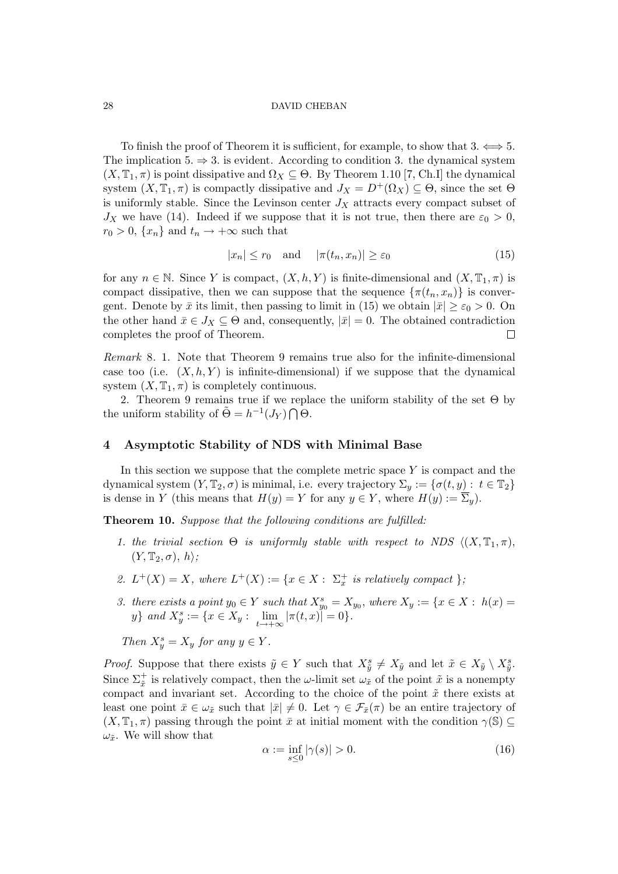To finish the proof of Theorem it is sufficient, for example, to show that  $3. \Longleftrightarrow 5.$ The implication 5.  $\Rightarrow$  3. is evident. According to condition 3. the dynamical system  $(X, \mathbb{T}_1, \pi)$  is point dissipative and  $\Omega_X \subseteq \Theta$ . By Theorem 1.10 [7, Ch.I] the dynamical system  $(X, \mathbb{T}_1, \pi)$  is compactly dissipative and  $J_X = D^+(\Omega_X) \subseteq \Theta$ , since the set  $\Theta$ is uniformly stable. Since the Levinson center  $J_X$  attracts every compact subset of  $J_X$  we have (14). Indeed if we suppose that it is not true, then there are  $\varepsilon_0 > 0$ ,  $r_0 > 0$ ,  $\{x_n\}$  and  $t_n \to +\infty$  such that

$$
|x_n| \le r_0 \quad \text{and} \quad |\pi(t_n, x_n)| \ge \varepsilon_0 \tag{15}
$$

for any  $n \in \mathbb{N}$ . Since Y is compact,  $(X, h, Y)$  is finite-dimensional and  $(X, \mathbb{T}_1, \pi)$  is compact dissipative, then we can suppose that the sequence  $\{\pi(t_n, x_n)\}\$ is convergent. Denote by  $\bar{x}$  its limit, then passing to limit in (15) we obtain  $|\bar{x}| \geq \varepsilon_0 > 0$ . On the other hand  $\bar{x} \in J_X \subseteq \Theta$  and, consequently,  $|\bar{x}| = 0$ . The obtained contradiction completes the proof of Theorem.  $\Box$ 

Remark 8. 1. Note that Theorem 9 remains true also for the infinite-dimensional case too (i.e.  $(X, h, Y)$  is infinite-dimensional) if we suppose that the dynamical system  $(X, \mathbb{T}_1, \pi)$  is completely continuous.

2. Theorem 9 remains true if we replace the uniform stability of the set  $\Theta$  by the uniform stability of  $\tilde{\Theta} = h^{-1}(J_Y) \bigcap \Theta$ .

## 4 Asymptotic Stability of NDS with Minimal Base

In this section we suppose that the complete metric space  $Y$  is compact and the dynamical system  $(Y, \mathbb{T}_2, \sigma)$  is minimal, i.e. every trajectory  $\Sigma_y := \{ \sigma(t, y) : t \in \mathbb{T}_2 \}$ is dense in Y (this means that  $H(y) = Y$  for any  $y \in Y$ , where  $H(y) := \overline{\Sigma}_y$ ).

Theorem 10. Suppose that the following conditions are fulfilled:

- 1. the trivial section  $\Theta$  is uniformly stable with respect to NDS  $((X, \mathbb{T}_1, \pi),$  $(Y, \mathbb{T}_2, \sigma), h\rangle;$
- 2.  $L^+(X) = X$ , where  $L^+(X) := \{x \in X : \Sigma_x^+ \text{ is relatively compact } \}$ ;
- 3. there exists a point  $y_0 \in Y$  such that  $X_{y_0}^s = X_{y_0}$ , where  $X_y := \{x \in X : h(x) =$ y} and  $X_y^s := \{x \in X_y : \lim_{t \to +\infty} |\pi(t,x)| = 0\}.$

Then  $X_y^s = X_y$  for any  $y \in Y$ .

*Proof.* Suppose that there exists  $\tilde{y} \in Y$  such that  $X_{\tilde{y}}^s \neq X_{\tilde{y}}$  and let  $\tilde{x} \in X_{\tilde{y}} \setminus X_{\tilde{y}}^s$ . Since  $\Sigma_{\tilde{x}}^+$  is relatively compact, then the  $\omega$ -limit set  $\omega_{\tilde{x}}$  of the point  $\tilde{x}$  is a nonempty compact and invariant set. According to the choice of the point  $\tilde{x}$  there exists at least one point  $\bar{x} \in \omega_{\tilde{x}}$  such that  $|\bar{x}| \neq 0$ . Let  $\gamma \in \mathcal{F}_{\bar{x}}(\pi)$  be an entire trajectory of  $(X, \mathbb{T}_1, \pi)$  passing through the point  $\bar{x}$  at initial moment with the condition  $\gamma(\mathbb{S}) \subseteq$  $\omega_{\tilde{x}}$ . We will show that

$$
\alpha := \inf_{s \le 0} |\gamma(s)| > 0. \tag{16}
$$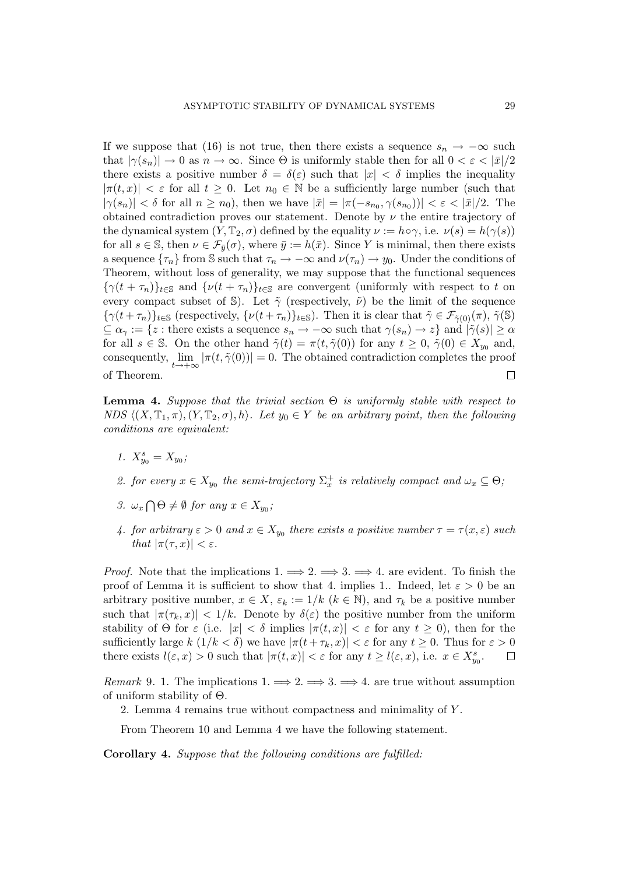If we suppose that (16) is not true, then there exists a sequence  $s_n \to -\infty$  such that  $|\gamma(s_n)| \to 0$  as  $n \to \infty$ . Since  $\Theta$  is uniformly stable then for all  $0 < \varepsilon < |\bar{x}|/2$ there exists a positive number  $\delta = \delta(\varepsilon)$  such that  $|x| < \delta$  implies the inequality  $|\pi(t, x)| < \varepsilon$  for all  $t \geq 0$ . Let  $n_0 \in \mathbb{N}$  be a sufficiently large number (such that  $|\gamma(s_n)| < \delta$  for all  $n \geq n_0$ ), then we have  $|\bar{x}| = |\pi(-s_{n_0}, \gamma(s_{n_0}))| < \varepsilon < |\bar{x}|/2$ . The obtained contradiction proves our statement. Denote by  $\nu$  the entire trajectory of the dynamical system  $(Y, \mathbb{T}_2, \sigma)$  defined by the equality  $\nu := h \circ \gamma$ , i.e.  $\nu(s) = h(\gamma(s))$ for all  $s \in \mathbb{S}$ , then  $\nu \in \mathcal{F}_{\bar{y}}(\sigma)$ , where  $\bar{y} := h(\bar{x})$ . Since Y is minimal, then there exists a sequence  $\{\tau_n\}$  from S such that  $\tau_n \to -\infty$  and  $\nu(\tau_n) \to y_0$ . Under the conditions of Theorem, without loss of generality, we may suppose that the functional sequences  ${\{\gamma(t+\tau_n)\}_{t\in\mathbb{S}}}$  and  ${\{\nu(t+\tau_n)\}_{t\in\mathbb{S}}}$  are convergent (uniformly with respect to t on every compact subset of S). Let  $\tilde{\gamma}$  (respectively,  $\tilde{\nu}$ ) be the limit of the sequence  ${\{\gamma(t+\tau_n)\}}_{t\in\mathbb{S}}$  (respectively,  ${\{\nu(t+\tau_n)\}}_{t\in\mathbb{S}}$ ). Then it is clear that  $\tilde{\gamma} \in \mathcal{F}_{\tilde{\gamma}(0)}(\pi)$ ,  $\tilde{\gamma}(\mathbb{S})$  $\subseteq \alpha_{\gamma} := \{z : \text{there exists a sequence } s_n \to -\infty \text{ such that } \gamma(s_n) \to z\} \text{ and } |\tilde{\gamma}(s)| \geq \alpha$ for all  $s \in \mathbb{S}$ . On the other hand  $\tilde{\gamma}(t) = \pi(t, \tilde{\gamma}(0))$  for any  $t \geq 0$ ,  $\tilde{\gamma}(0) \in X_{y_0}$  and, consequently,  $\lim_{t\to+\infty} |\pi(t,\tilde{\gamma}(0))| = 0$ . The obtained contradiction completes the proof of Theorem.  $\Box$ 

**Lemma 4.** Suppose that the trivial section  $\Theta$  is uniformly stable with respect to NDS  $\langle (X, \mathbb{T}_1, \pi), (Y, \mathbb{T}_2, \sigma), h \rangle$ . Let  $y_0 \in Y$  be an arbitrary point, then the following conditions are equivalent:

1.  $X_{y_0}^s = X_{y_0}$ ;

2. for every  $x \in X_{y_0}$  the semi-trajectory  $\Sigma_x^+$  is relatively compact and  $\omega_x \subseteq \Theta$ ;

- 3.  $\omega_x$  $\overline{a}$  $\Theta \neq \emptyset$  for any  $x \in X_{y_0}$ ;
- 4. for arbitrary  $\varepsilon > 0$  and  $x \in X_{y_0}$  there exists a positive number  $\tau = \tau(x, \varepsilon)$  such that  $|\pi(\tau, x)| < \varepsilon$ .

*Proof.* Note that the implications  $1 \implies 2 \implies 3 \implies 4$ . are evident. To finish the proof of Lemma it is sufficient to show that 4. implies 1.. Indeed, let  $\varepsilon > 0$  be an arbitrary positive number,  $x \in X$ ,  $\varepsilon_k := 1/k$  ( $k \in \mathbb{N}$ ), and  $\tau_k$  be a positive number such that  $|\pi(\tau_k, x)| < 1/k$ . Denote by  $\delta(\varepsilon)$  the positive number from the uniform stability of  $\Theta$  for  $\varepsilon$  (i.e.  $|x| < \delta$  implies  $|\pi(t,x)| < \varepsilon$  for any  $t \geq 0$ ), then for the sufficiently large  $k(1/k < \delta)$  we have  $|\pi(t + \tau_k, x)| < \varepsilon$  for any  $t \geq 0$ . Thus for  $\varepsilon > 0$ there exists  $l(\varepsilon, x) > 0$  such that  $|\pi(t, x)| < \varepsilon$  for any  $t \ge l(\varepsilon, x)$ , i.e.  $x \in X_{y_0}^s$ .  $\Box$ 

*Remark* 9. 1. The implications  $1 \implies 2 \implies 3 \implies 4$ . are true without assumption of uniform stability of Θ.

2. Lemma 4 remains true without compactness and minimality of Y .

From Theorem 10 and Lemma 4 we have the following statement.

Corollary 4. Suppose that the following conditions are fulfilled: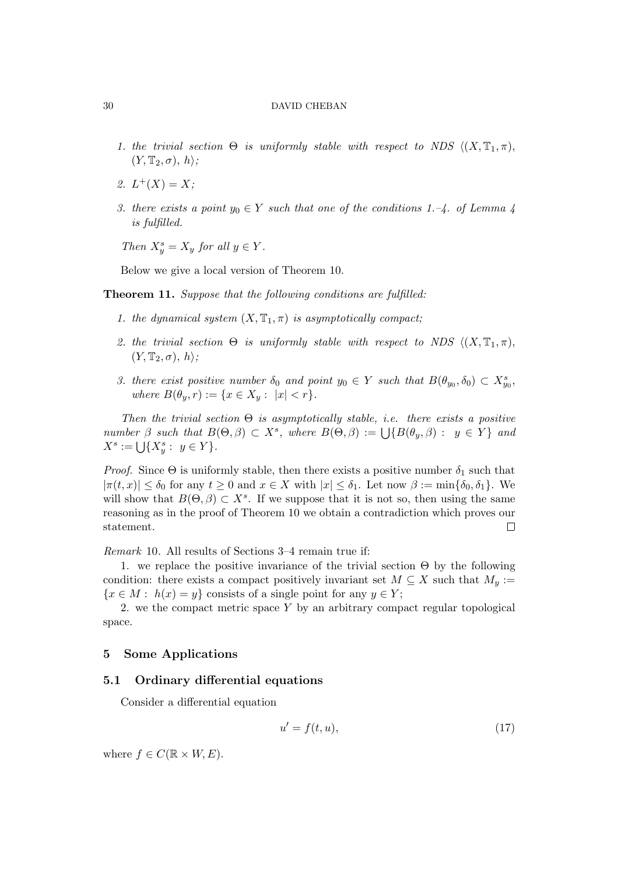- 1. the trivial section  $\Theta$  is uniformly stable with respect to NDS  $\langle (X, \mathbb{T}_1, \pi),$  $(Y, \mathbb{T}_2, \sigma), h$ ;
- 2.  $L^+(X) = X;$
- 3. there exists a point  $y_0 \in Y$  such that one of the conditions 1.–4. of Lemma 4 is fulfilled.

Then  $X_y^s = X_y$  for all  $y \in Y$ .

Below we give a local version of Theorem 10.

Theorem 11. Suppose that the following conditions are fulfilled:

- 1. the dynamical system  $(X, \mathbb{T}_1, \pi)$  is asymptotically compact;
- 2. the trivial section  $\Theta$  is uniformly stable with respect to NDS  $\langle (X, \mathbb{T}_1, \pi),$  $(Y, \mathbb{T}_2, \sigma), h \rangle;$
- 3. there exist positive number  $\delta_0$  and point  $y_0 \in Y$  such that  $B(\theta_{y_0}, \delta_0) \subset X_{y_0}^s$ , where  $B(\theta_y, r) := \{x \in X_y : |x| < r\}.$

Then the trivial section  $\Theta$  is asymptotically stable, i.e. there exists a positive Then the trivial section  $\Theta$  is asymptotically stable, i.e. there exists a positive<br>number  $\beta$  such that  $B(\Theta, \beta) \subset X^s$ , where  $B(\Theta, \beta) := \bigcup \{B(\theta_y, \beta) : y \in Y\}$  and  $X^s := \bigcup \{X^s_y : y \in Y\}.$ 

*Proof.* Since  $\Theta$  is uniformly stable, then there exists a positive number  $\delta_1$  such that  $|\pi(t,x)| \leq \delta_0$  for any  $t \geq 0$  and  $x \in X$  with  $|x| \leq \delta_1$ . Let now  $\beta := \min{\{\delta_0, \delta_1\}}$ . We will show that  $B(\Theta, \beta) \subset X^s$ . If we suppose that it is not so, then using the same reasoning as in the proof of Theorem 10 we obtain a contradiction which proves our statement.  $\Box$ 

Remark 10. All results of Sections 3–4 remain true if:

1. we replace the positive invariance of the trivial section  $\Theta$  by the following condition: there exists a compact positively invariant set  $M \subseteq X$  such that  $M_y :=$  ${x \in M : h(x) = y}$  consists of a single point for any  $y \in Y$ ;

2. we the compact metric space  $Y$  by an arbitrary compact regular topological space.

# 5 Some Applications

# 5.1 Ordinary differential equations

Consider a differential equation

$$
u' = f(t, u),\tag{17}
$$

where  $f \in C(\mathbb{R} \times W, E)$ .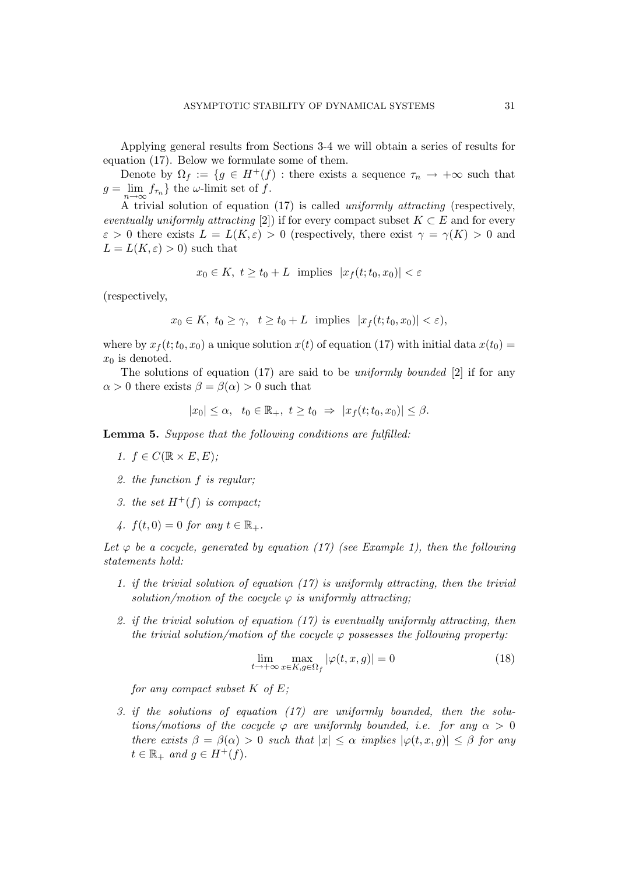Applying general results from Sections 3-4 we will obtain a series of results for equation (17). Below we formulate some of them.

Denote by  $\Omega_f := \{ g \in H^+(f) : \text{there exists a sequence } \tau_n \to +\infty \text{ such that } \tau_n \to +\infty \text{ such that } \tau_n \to +\infty \text{ such that } \tau_n \to +\infty \text{ such that } \tau_n \to +\infty \text{ such that } \tau_n \to +\infty \text{ such that } \tau_n \to +\infty \text{ such that } \tau_n \to +\infty \text{ such that } \tau_n \to +\infty \text{ such that } \tau_n \to +\infty \text{ such that } \tau_n \to +\infty \text{ such that } \tau_n \to +\infty \text{ such that } \tau_n \to +\$  $g = \lim_{n \to \infty} f_{\tau_n}$  the  $\omega$ -limit set of f.

A trivial solution of equation (17) is called uniformly attracting (respectively, eventually uniformly attracting [2]) if for every compact subset  $K \subset E$  and for every  $\varepsilon > 0$  there exists  $L = L(K, \varepsilon) > 0$  (respectively, there exist  $\gamma = \gamma(K) > 0$  and  $L = L(K, \varepsilon) > 0$ ) such that

$$
x_0 \in K
$$
,  $t \ge t_0 + L$  implies  $|x_f(t; t_0, x_0)| < \varepsilon$ 

(respectively,

$$
x_0 \in K
$$
,  $t_0 \ge \gamma$ ,  $t \ge t_0 + L$  implies  $|x_f(t; t_0, x_0)| < \varepsilon$ ,

where by  $x_f(t;t_0, x_0)$  a unique solution  $x(t)$  of equation (17) with initial data  $x(t_0) =$  $x_0$  is denoted.

The solutions of equation (17) are said to be uniformly bounded [2] if for any  $\alpha > 0$  there exists  $\beta = \beta(\alpha) > 0$  such that

$$
|x_0| \leq \alpha, \quad t_0 \in \mathbb{R}_+, \ t \geq t_0 \Rightarrow |x_f(t; t_0, x_0)| \leq \beta.
$$

Lemma 5. Suppose that the following conditions are fulfilled:

- 1.  $f \in C(\mathbb{R} \times E, E);$
- 2. the function f is regular;
- 3. the set  $H^+(f)$  is compact;
- 4.  $f(t, 0) = 0$  for any  $t \in \mathbb{R}_+$ .

Let  $\varphi$  be a cocycle, generated by equation (17) (see Example 1), then the following statements hold:

- 1. if the trivial solution of equation (17) is uniformly attracting, then the trivial solution/motion of the cocycle  $\varphi$  is uniformly attracting;
- 2. if the trivial solution of equation  $(17)$  is eventually uniformly attracting, then the trivial solution/motion of the cocycle  $\varphi$  possesses the following property:

$$
\lim_{t \to +\infty} \max_{x \in K, g \in \Omega_f} |\varphi(t, x, g)| = 0
$$
\n(18)

for any compact subset  $K$  of  $E$ ;

3. if the solutions of equation (17) are uniformly bounded, then the solutions/motions of the cocycle  $\varphi$  are uniformly bounded, i.e. for any  $\alpha > 0$ there exists  $\beta = \beta(\alpha) > 0$  such that  $|x| < \alpha$  implies  $|\varphi(t, x, q)| < \beta$  for any  $t \in \mathbb{R}_+$  and  $g \in H^+(f)$ .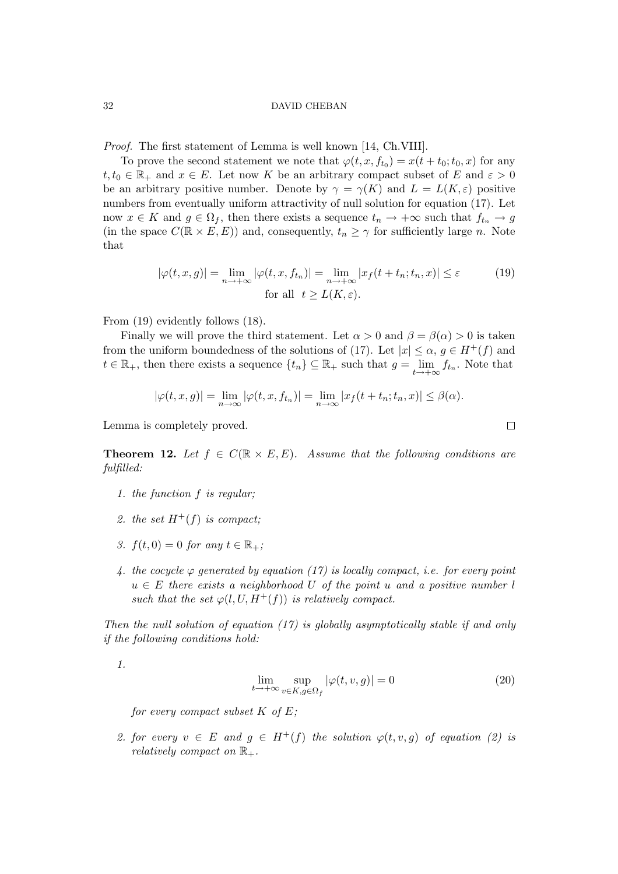Proof. The first statement of Lemma is well known [14, Ch.VIII].

To prove the second statement we note that  $\varphi(t, x, f_{t_0}) = x(t + t_0; t_0, x)$  for any  $t, t_0 \in \mathbb{R}_+$  and  $x \in E$ . Let now K be an arbitrary compact subset of E and  $\varepsilon > 0$ be an arbitrary positive number. Denote by  $\gamma = \gamma(K)$  and  $L = L(K, \varepsilon)$  positive numbers from eventually uniform attractivity of null solution for equation (17). Let now  $x \in K$  and  $g \in \Omega_f$ , then there exists a sequence  $t_n \to +\infty$  such that  $f_{t_n} \to g$ (in the space  $C(\mathbb{R} \times E, E)$ ) and, consequently,  $t_n \geq \gamma$  for sufficiently large n. Note that

$$
|\varphi(t, x, g)| = \lim_{n \to +\infty} |\varphi(t, x, f_{t_n})| = \lim_{n \to +\infty} |x_f(t + t_n; t_n, x)| \le \varepsilon
$$
 (19)  
for all  $t \ge L(K, \varepsilon)$ .

From (19) evidently follows (18).

Finally we will prove the third statement. Let  $\alpha > 0$  and  $\beta = \beta(\alpha) > 0$  is taken from the uniform boundedness of the solutions of (17). Let  $|x| \leq \alpha$ ,  $g \in H^+(f)$  and  $t \in \mathbb{R}_+$ , then there exists a sequence  $\{t_n\} \subseteq \mathbb{R}_+$  such that  $g = \lim_{t \to +\infty} f_{t_n}$ . Note that

$$
|\varphi(t,x,g)| = \lim_{n \to \infty} |\varphi(t,x,f_{t_n})| = \lim_{n \to \infty} |x_f(t+t_n;t_n,x)| \leq \beta(\alpha).
$$

Lemma is completely proved.

**Theorem 12.** Let  $f \in C(\mathbb{R} \times E, E)$ . Assume that the following conditions are fulfilled:

- 1. the function f is regular;
- 2. the set  $H^+(f)$  is compact;
- 3.  $f(t, 0) = 0$  for any  $t \in \mathbb{R}_+$ ;
- 4. the cocycle  $\varphi$  generated by equation (17) is locally compact, i.e. for every point  $u \in E$  there exists a neighborhood U of the point u and a positive number l such that the set  $\varphi(l, U, H^+(f))$  is relatively compact.

Then the null solution of equation  $(17)$  is globally asymptotically stable if and only if the following conditions hold:

1.

$$
\lim_{t \to +\infty} \sup_{v \in K, g \in \Omega_f} |\varphi(t, v, g)| = 0
$$
\n(20)

for every compact subset  $K$  of  $E$ ;

2. for every  $v \in E$  and  $g \in H^+(f)$  the solution  $\varphi(t, v, g)$  of equation (2) is relatively compact on  $\mathbb{R}_+$ .

 $\Box$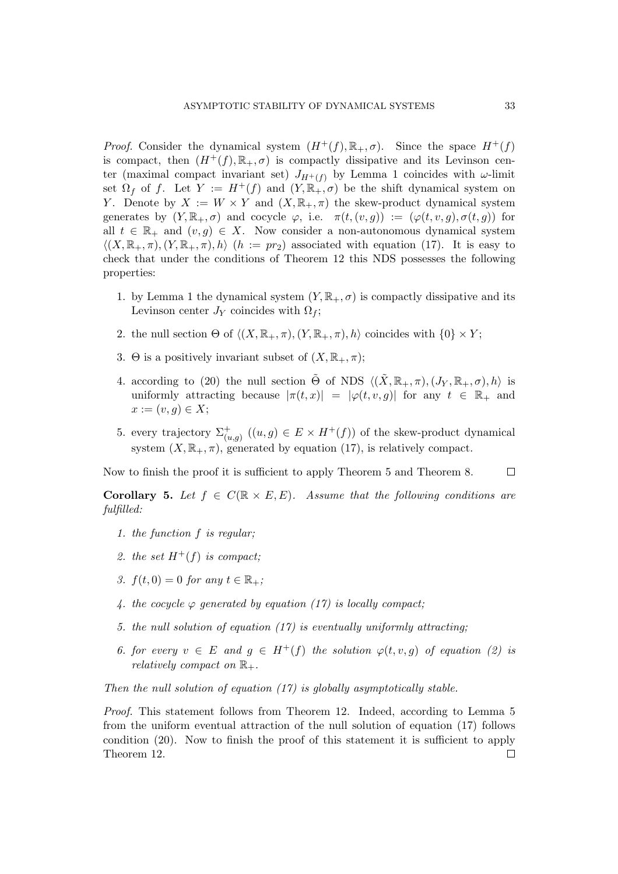*Proof.* Consider the dynamical system  $(H^+(f), \mathbb{R}_+, \sigma)$ . Since the space  $H^+(f)$ is compact, then  $(H^+(f), \mathbb{R}_+, \sigma)$  is compactly dissipative and its Levinson center (maximal compact invariant set)  $J_{H^+(f)}$  by Lemma 1 coincides with  $\omega$ -limit set  $\Omega_f$  of f. Let  $Y := H^+(f)$  and  $(Y, \mathbb{R}_+, \sigma)$  be the shift dynamical system on Y. Denote by  $X := W \times Y$  and  $(X, \mathbb{R}_+, \pi)$  the skew-product dynamical system generates by  $(Y, \mathbb{R}_+, \sigma)$  and cocycle  $\varphi$ , i.e.  $\pi(t,(v,g)) := (\varphi(t,v,g), \sigma(t,g))$  for all  $t \in \mathbb{R}_+$  and  $(v, g) \in X$ . Now consider a non-autonomous dynamical system  $\langle (X,\mathbb{R}_+,\pi), (Y,\mathbb{R}_+,\pi), h \rangle$  (h := pr<sub>2</sub>) associated with equation (17). It is easy to check that under the conditions of Theorem 12 this NDS possesses the following properties:

- 1. by Lemma 1 the dynamical system  $(Y, \mathbb{R}_+, \sigma)$  is compactly dissipative and its Levinson center  $J_Y$  coincides with  $\Omega_f$ ;
- 2. the null section  $\Theta$  of  $\langle (X, \mathbb{R}_+, \pi), (Y, \mathbb{R}_+, \pi), h \rangle$  coincides with  $\{0\} \times Y$ ;
- 3. Θ is a positively invariant subset of  $(X, \mathbb{R}_+, \pi);$
- 4. according to (20) the null section  $\tilde{\Theta}$  of NDS  $\langle (\tilde{X}, \mathbb{R}_+, \pi), (J_Y, \mathbb{R}_+, \sigma), h \rangle$  is uniformly attracting because  $|\pi(t,x)| = |\varphi(t,v,g)|$  for any  $t \in \mathbb{R}_+$  and  $x := (v, q) \in X;$
- 5. every trajectory  $\Sigma^+_{(u,g)}$   $((u,g) \in E \times H^+(f))$  of the skew-product dynamical system  $(X, \mathbb{R}_+, \pi)$ , generated by equation (17), is relatively compact.

Now to finish the proof it is sufficient to apply Theorem 5 and Theorem 8.

 $\Box$ 

**Corollary 5.** Let  $f \in C(\mathbb{R} \times E, E)$ . Assume that the following conditions are fulfilled:

- 1. the function f is regular;
- 2. the set  $H^+(f)$  is compact;
- 3.  $f(t, 0) = 0$  for any  $t \in \mathbb{R}_+$ ;
- 4. the cocycle  $\varphi$  generated by equation (17) is locally compact;
- 5. the null solution of equation (17) is eventually uniformly attracting;
- 6. for every  $v \in E$  and  $g \in H^+(f)$  the solution  $\varphi(t, v, g)$  of equation (2) is relatively compact on  $\mathbb{R}_+$ .

Then the null solution of equation  $(17)$  is globally asymptotically stable.

Proof. This statement follows from Theorem 12. Indeed, according to Lemma 5 from the uniform eventual attraction of the null solution of equation (17) follows condition (20). Now to finish the proof of this statement it is sufficient to apply Theorem 12. $\Box$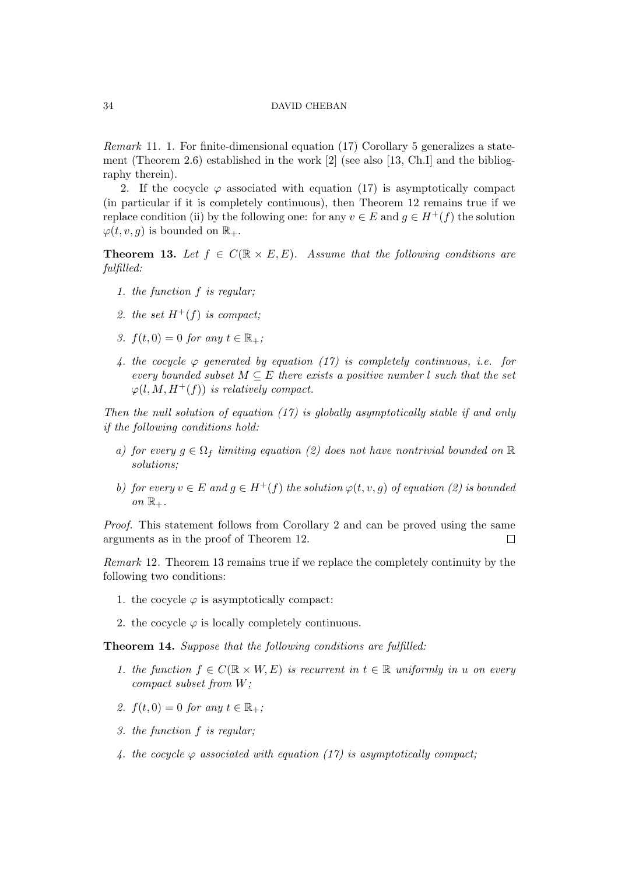Remark 11. 1. For finite-dimensional equation (17) Corollary 5 generalizes a statement (Theorem 2.6) established in the work [2] (see also [13, Ch.I] and the bibliography therein).

2. If the cocycle  $\varphi$  associated with equation (17) is asymptotically compact (in particular if it is completely continuous), then Theorem 12 remains true if we replace condition (ii) by the following one: for any  $v \in E$  and  $g \in H^+(f)$  the solution  $\varphi(t, v, q)$  is bounded on  $\mathbb{R}_+$ .

**Theorem 13.** Let  $f \in C(\mathbb{R} \times E, E)$ . Assume that the following conditions are fulfilled:

- 1. the function f is regular;
- 2. the set  $H^+(f)$  is compact;
- 3.  $f(t, 0) = 0$  for any  $t \in \mathbb{R}_+$ ;
- 4. the cocycle  $\varphi$  generated by equation (17) is completely continuous, i.e. for every bounded subset  $M \subseteq E$  there exists a positive number l such that the set  $\varphi(l, M, H^+(f))$  is relatively compact.

Then the null solution of equation  $(17)$  is globally asymptotically stable if and only if the following conditions hold:

- a) for every  $q \in \Omega_f$  limiting equation (2) does not have nontrivial bounded on  $\mathbb R$ solutions;
- b) for every  $v \in E$  and  $q \in H^+(f)$  the solution  $\varphi(t, v, q)$  of equation (2) is bounded on  $\mathbb{R}_+$ .

Proof. This statement follows from Corollary 2 and can be proved using the same arguments as in the proof of Theorem 12.  $\Box$ 

Remark 12. Theorem 13 remains true if we replace the completely continuity by the following two conditions:

- 1. the cocycle  $\varphi$  is asymptotically compact:
- 2. the cocycle  $\varphi$  is locally completely continuous.

Theorem 14. Suppose that the following conditions are fulfilled:

- 1. the function  $f \in C(\mathbb{R} \times W, E)$  is recurrent in  $t \in \mathbb{R}$  uniformly in u on every compact subset from W;
- 2.  $f(t, 0) = 0$  for any  $t \in \mathbb{R}_+$ ;
- 3. the function f is regular;
- 4. the cocycle  $\varphi$  associated with equation (17) is asymptotically compact;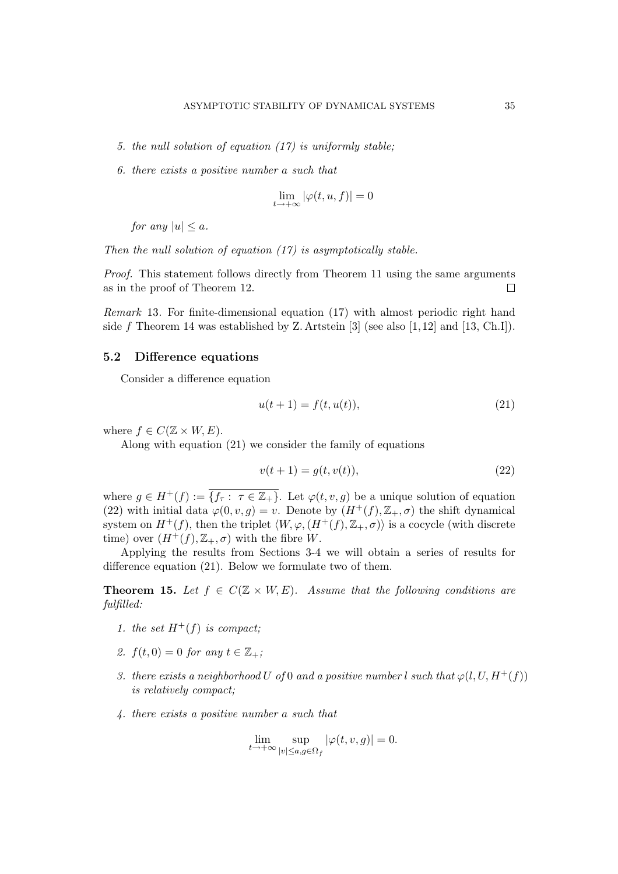- 5. the null solution of equation (17) is uniformly stable;
- 6. there exists a positive number a such that

$$
\lim_{t \to +\infty} |\varphi(t, u, f)| = 0
$$

for any  $|u| \leq a$ .

Then the null solution of equation  $(17)$  is asymptotically stable.

Proof. This statement follows directly from Theorem 11 using the same arguments as in the proof of Theorem 12.  $\Box$ 

Remark 13. For finite-dimensional equation (17) with almost periodic right hand side f Theorem 14 was established by Z. Artstein [3] (see also  $[1, 12]$  and  $[13, Ch.I]$ ).

## 5.2 Difference equations

Consider a difference equation

$$
u(t+1) = f(t, u(t)),
$$
\n(21)

where  $f \in C(\mathbb{Z} \times W, E)$ .

Along with equation (21) we consider the family of equations

$$
v(t+1) = g(t, v(t)),
$$
\n(22)

where  $g \in H^+(f) := \overline{\{f_{\tau} : \tau \in \mathbb{Z}_+\}}$ . Let  $\varphi(t, v, g)$  be a unique solution of equation (22) with initial data  $\varphi(0, v, g) = v$ . Denote by  $(H^+(f), \mathbb{Z}_+, \sigma)$  the shift dynamical system on  $H^+(f)$ , then the triplet  $\langle W, \varphi, (H^+(f), \mathbb{Z}_+, \sigma) \rangle$  is a cocycle (with discrete time) over  $(H^+(f), \mathbb{Z}_+, \sigma)$  with the fibre W.

Applying the results from Sections 3-4 we will obtain a series of results for difference equation (21). Below we formulate two of them.

**Theorem 15.** Let  $f \in C(\mathbb{Z} \times W, E)$ . Assume that the following conditions are fulfilled:

- 1. the set  $H^+(f)$  is compact;
- 2.  $f(t, 0) = 0$  for any  $t \in \mathbb{Z}_+$ ;
- 3. there exists a neighborhood U of 0 and a positive number l such that  $\varphi(l, U, H^+(f))$ is relatively compact;
- 4. there exists a positive number a such that

$$
\lim_{t\to +\infty}\sup_{|v|\leq a, g\in \Omega_f}|\varphi(t,v,g)|=0.
$$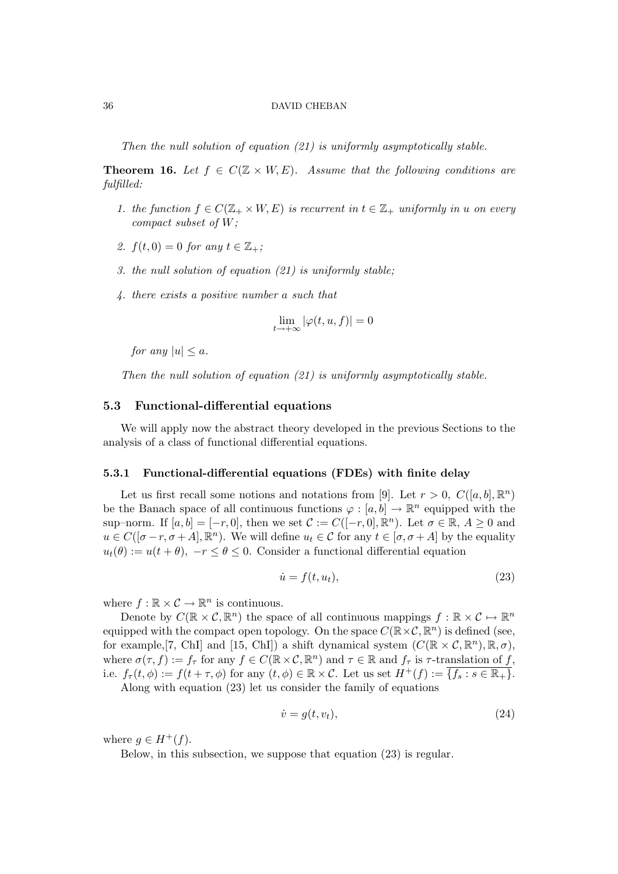Then the null solution of equation (21) is uniformly asymptotically stable.

**Theorem 16.** Let  $f \in C(\mathbb{Z} \times W, E)$ . Assume that the following conditions are fulfilled:

- 1. the function  $f \in C(\mathbb{Z}_+ \times W, E)$  is recurrent in  $t \in \mathbb{Z}_+$  uniformly in u on every compact subset of W;
- 2.  $f(t, 0) = 0$  for any  $t \in \mathbb{Z}_+$ ;
- 3. the null solution of equation (21) is uniformly stable;
- 4. there exists a positive number a such that

$$
\lim_{t \to +\infty} |\varphi(t, u, f)| = 0
$$

for any  $|u| \leq a$ .

Then the null solution of equation (21) is uniformly asymptotically stable.

# 5.3 Functional-differential equations

We will apply now the abstract theory developed in the previous Sections to the analysis of a class of functional differential equations.

#### 5.3.1 Functional-differential equations (FDEs) with finite delay

Let us first recall some notions and notations from [9]. Let  $r > 0$ ,  $C([a, b], \mathbb{R}^n)$ be the Banach space of all continuous functions  $\varphi : [a, b] \to \mathbb{R}^n$  equipped with the sup–norm. If  $[a, b] = [-r, 0]$ , then we set  $\mathcal{C} := C([-r, 0], \mathbb{R}^n)$ . Let  $\sigma \in \mathbb{R}$ ,  $A \geq 0$  and  $u \in C([\sigma-r, \sigma+A], \mathbb{R}^n)$ . We will define  $u_t \in \mathcal{C}$  for any  $t \in [\sigma, \sigma+A]$  by the equality  $u_t(\theta) := u(t + \theta)$ ,  $-r \leq \theta \leq 0$ . Consider a functional differential equation

$$
\dot{u} = f(t, u_t),\tag{23}
$$

where  $f : \mathbb{R} \times \mathcal{C} \to \mathbb{R}^n$  is continuous.

Denote by  $C(\mathbb{R}\times\mathcal{C}, \mathbb{R}^n)$  the space of all continuous mappings  $f: \mathbb{R}\times\mathcal{C} \mapsto \mathbb{R}^n$ equipped with the compact open topology. On the space  $C(\mathbb{R}\times\mathcal{C}, \mathbb{R}^n)$  is defined (see, for example, [7, ChI] and [15, ChI]) a shift dynamical system  $(C(\mathbb{R} \times C, \mathbb{R}^n), \mathbb{R}, \sigma)$ , where  $\sigma(\tau, f) := f_{\tau}$  for any  $f \in C(\mathbb{R} \times \mathcal{C}, \mathbb{R}^n)$  and  $\tau \in \mathbb{R}$  and  $f_{\tau}$  is  $\tau$ -translation of f, i.e.  $f_{\tau}(t, \phi) := f(t + \tau, \phi)$  for any  $(t, \phi) \in \mathbb{R} \times \mathcal{C}$ . Let us set  $H^+(f) := \{f_s : s \in \mathbb{R}_+\}.$ 

Along with equation (23) let us consider the family of equations

$$
\dot{v} = g(t, v_t),\tag{24}
$$

where  $q \in H^+(f)$ .

Below, in this subsection, we suppose that equation (23) is regular.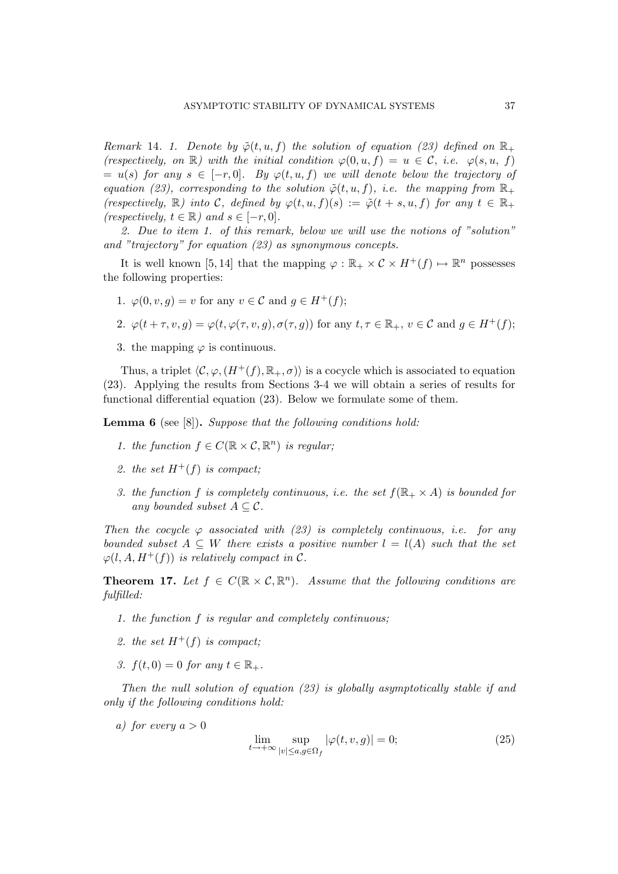Remark 14. 1. Denote by  $\tilde{\varphi}(t, u, f)$  the solution of equation (23) defined on  $\mathbb{R}_+$ (respectively, on  $\mathbb{R}$ ) with the initial condition  $\varphi(0, u, f) = u \in \mathcal{C}$ , i.e.  $\varphi(s, u, f)$  $= u(s)$  for any  $s \in [-r, 0]$ . By  $\varphi(t, u, f)$  we will denote below the trajectory of equation (23), corresponding to the solution  $\tilde{\varphi}(t, u, f)$ , i.e. the mapping from  $\mathbb{R}_+$ (respectively,  $\mathbb R$ ) into C, defined by  $\varphi(t, u, f)(s) := \tilde{\varphi}(t + s, u, f)$  for any  $t \in \mathbb R_+$ (respectively,  $t \in \mathbb{R}$ ) and  $s \in [-r, 0]$ .

2. Due to item 1. of this remark, below we will use the notions of "solution" and "trajectory" for equation (23) as synonymous concepts.

It is well known [5,14] that the mapping  $\varphi : \mathbb{R}_+ \times C \times H^+(f) \mapsto \mathbb{R}^n$  possesses the following properties:

1.  $\varphi(0, v, q) = v$  for any  $v \in \mathcal{C}$  and  $q \in H^+(f)$ ;

2. 
$$
\varphi(t+\tau, v, g) = \varphi(t, \varphi(\tau, v, g), \sigma(\tau, g))
$$
 for any  $t, \tau \in \mathbb{R}_+, v \in \mathcal{C}$  and  $g \in H^+(f)$ ;

3. the mapping  $\varphi$  is continuous.

Thus, a triplet  $\langle \mathcal{C}, \varphi,(H^+(f), \mathbb{R}_+, \sigma) \rangle$  is a cocycle which is associated to equation (23). Applying the results from Sections 3-4 we will obtain a series of results for functional differential equation (23). Below we formulate some of them.

**Lemma 6** (see [8]). Suppose that the following conditions hold:

- 1. the function  $f \in C(\mathbb{R} \times \mathcal{C}, \mathbb{R}^n)$  is regular;
- 2. the set  $H^+(f)$  is compact;
- 3. the function f is completely continuous, i.e. the set  $f(\mathbb{R}_+ \times A)$  is bounded for any bounded subset  $A \subseteq \mathcal{C}$ .

Then the cocycle  $\varphi$  associated with (23) is completely continuous, i.e. for any bounded subset  $A \subseteq W$  there exists a positive number  $l = l(A)$  such that the set  $\varphi(l, A, H^+(f))$  is relatively compact in C.

**Theorem 17.** Let  $f \in C(\mathbb{R} \times \mathcal{C}, \mathbb{R}^n)$ . Assume that the following conditions are fulfilled:

- 1. the function f is regular and completely continuous;
- 2. the set  $H^+(f)$  is compact;
- 3.  $f(t, 0) = 0$  for any  $t \in \mathbb{R}_+$ .

Then the null solution of equation (23) is globally asymptotically stable if and only if the following conditions hold:

a) for every  $a > 0$ 

$$
\lim_{t \to +\infty} \sup_{|v| \le a, g \in \Omega_f} |\varphi(t, v, g)| = 0;
$$
\n(25)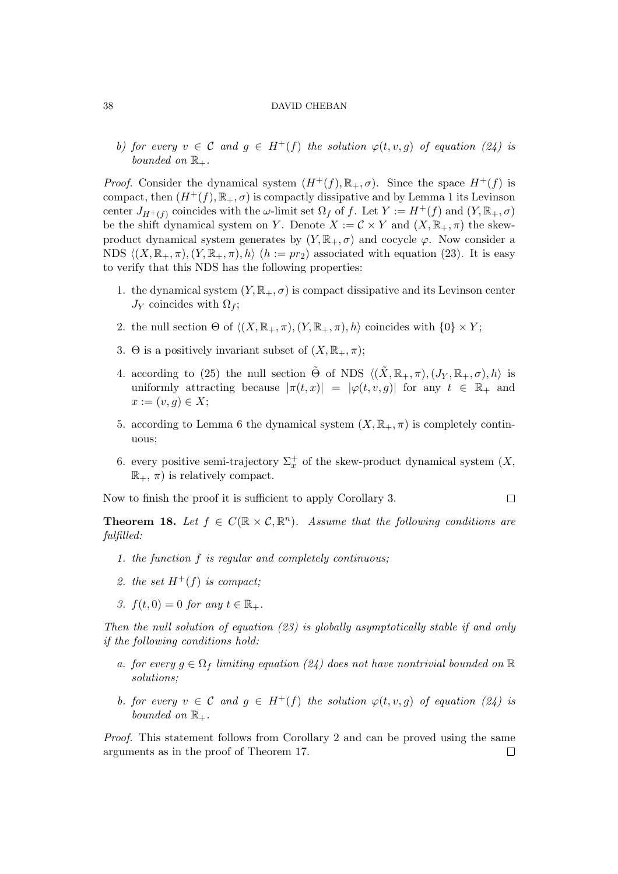b) for every  $v \in C$  and  $g \in H^+(f)$  the solution  $\varphi(t, v, g)$  of equation (24) is bounded on  $\mathbb{R}_+$ .

*Proof.* Consider the dynamical system  $(H^+(f), \mathbb{R}_+, \sigma)$ . Since the space  $H^+(f)$  is compact, then  $(H^+(f), \mathbb{R}_+, \sigma)$  is compactly dissipative and by Lemma 1 its Levinson center  $J_{H^+(f)}$  coincides with the  $\omega$ -limit set  $\Omega_f$  of f. Let  $Y := H^+(f)$  and  $(Y, \mathbb{R}_+, \sigma)$ be the shift dynamical system on Y. Denote  $X := \mathcal{C} \times Y$  and  $(X, \mathbb{R}_+, \pi)$  the skewproduct dynamical system generates by  $(Y, \mathbb{R}_+, \sigma)$  and cocycle  $\varphi$ . Now consider a NDS  $\langle (X, \mathbb{R}_+, \pi), (Y, \mathbb{R}_+, \pi), h \rangle$   $(h := pr_2)$  associated with equation (23). It is easy to verify that this NDS has the following properties:

- 1. the dynamical system  $(Y, \mathbb{R}_+, \sigma)$  is compact dissipative and its Levinson center  $J_Y$  coincides with  $\Omega_f$ ;
- 2. the null section  $\Theta$  of  $\langle (X, \mathbb{R}_+, \pi), (Y, \mathbb{R}_+, \pi), h \rangle$  coincides with  $\{0\} \times Y$ ;
- 3. Θ is a positively invariant subset of  $(X, \mathbb{R}_+, \pi);$
- 4. according to (25) the null section  $\tilde{\Theta}$  of NDS  $\langle (\tilde{X}, \mathbb{R}_+, \pi), (J_Y, \mathbb{R}_+, \sigma), h \rangle$  is uniformly attracting because  $|\pi(t,x)| = |\varphi(t,v,g)|$  for any  $t \in \mathbb{R}_+$  and  $x := (v, g) \in X;$
- 5. according to Lemma 6 the dynamical system  $(X, \mathbb{R}_+, \pi)$  is completely continuous;
- 6. every positive semi-trajectory  $\Sigma_x^+$  of the skew-product dynamical system  $(X,$  $\mathbb{R}_+$ ,  $\pi$ ) is relatively compact.

 $\Box$ 

Now to finish the proof it is sufficient to apply Corollary 3.

**Theorem 18.** Let  $f \in C(\mathbb{R} \times C, \mathbb{R}^n)$ . Assume that the following conditions are fulfilled:

- 1. the function f is regular and completely continuous;
- 2. the set  $H^+(f)$  is compact;
- 3.  $f(t, 0) = 0$  for any  $t \in \mathbb{R}_+$ .

Then the null solution of equation (23) is globally asymptotically stable if and only if the following conditions hold:

- a. for every  $g \in \Omega_f$  limiting equation (24) does not have nontrivial bounded on  $\mathbb R$ solutions;
- b. for every  $v \in \mathcal{C}$  and  $q \in H^+(f)$  the solution  $\varphi(t, v, q)$  of equation (24) is bounded on  $\mathbb{R}_+$ .

Proof. This statement follows from Corollary 2 and can be proved using the same arguments as in the proof of Theorem 17. $\Box$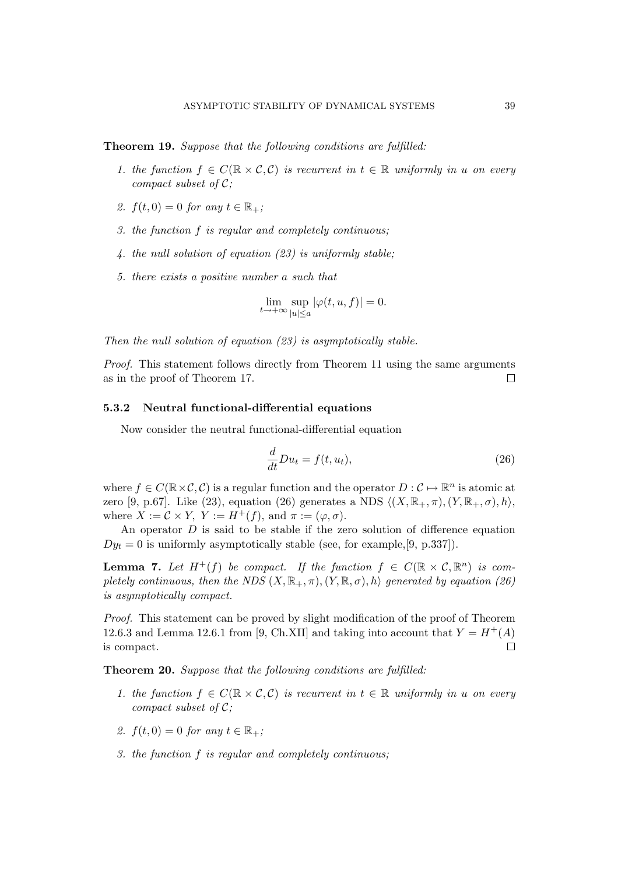Theorem 19. Suppose that the following conditions are fulfilled:

- 1. the function  $f \in C(\mathbb{R} \times \mathcal{C}, \mathcal{C})$  is recurrent in  $t \in \mathbb{R}$  uniformly in u on every compact subset of  $C$ ;
- 2.  $f(t, 0) = 0$  for any  $t \in \mathbb{R}_+$ ;
- 3. the function f is regular and completely continuous;
- 4. the null solution of equation (23) is uniformly stable;
- 5. there exists a positive number a such that

$$
\lim_{t\to +\infty}\sup_{|u|\leq a}|\varphi(t,u,f)|=0.
$$

Then the null solution of equation (23) is asymptotically stable.

Proof. This statement follows directly from Theorem 11 using the same arguments as in the proof of Theorem 17.  $\Box$ 

# 5.3.2 Neutral functional-differential equations

Now consider the neutral functional-differential equation

$$
\frac{d}{dt}Du_t = f(t, u_t),\tag{26}
$$

where  $f \in C(\mathbb{R} \times C, C)$  is a regular function and the operator  $D: C \mapsto \mathbb{R}^n$  is atomic at zero [9, p.67]. Like (23), equation (26) generates a NDS  $\langle (X, \mathbb{R}_+,\pi), (Y, \mathbb{R}_+,\sigma), h \rangle$ , where  $X := \mathcal{C} \times Y$ ,  $Y := H^+(f)$ , and  $\pi := (\varphi, \sigma)$ .

An operator  $D$  is said to be stable if the zero solution of difference equation  $Dy_t = 0$  is uniformly asymptotically stable (see, for example, [9, p.337]).

**Lemma 7.** Let  $H^+(f)$  be compact. If the function  $f \in C(\mathbb{R} \times \mathcal{C}, \mathbb{R}^n)$  is completely continuous, then the NDS  $(X, \mathbb{R}_+, \pi), (Y, \mathbb{R}, \sigma), h$  generated by equation (26) is asymptotically compact.

Proof. This statement can be proved by slight modification of the proof of Theorem 12.6.3 and Lemma 12.6.1 from [9, Ch.XII] and taking into account that  $Y = H^+(A)$  $\Box$ is compact.

Theorem 20. Suppose that the following conditions are fulfilled:

- 1. the function  $f \in C(\mathbb{R} \times \mathcal{C}, \mathcal{C})$  is recurrent in  $t \in \mathbb{R}$  uniformly in u on every compact subset of  $C$ ;
- 2.  $f(t, 0) = 0$  for any  $t \in \mathbb{R}_+$ ;
- 3. the function f is regular and completely continuous;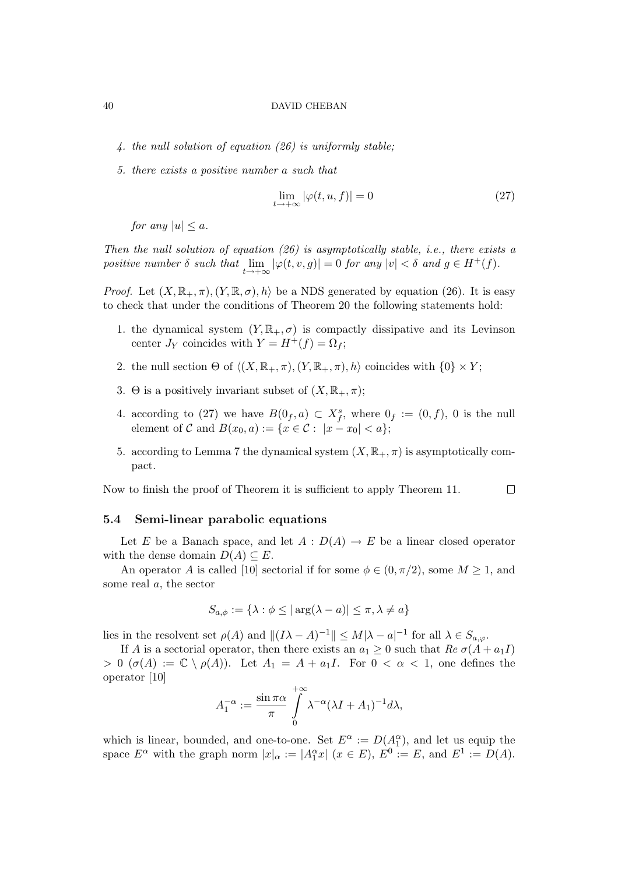- 4. the null solution of equation (26) is uniformly stable;
- 5. there exists a positive number a such that

$$
\lim_{t \to +\infty} |\varphi(t, u, f)| = 0 \tag{27}
$$

for any  $|u| \leq a$ .

Then the null solution of equation  $(26)$  is asymptotically stable, i.e., there exists a positive number  $\delta$  such that  $\lim_{t \to +\infty} |\varphi(t, v, g)| = 0$  for any  $|v| < \delta$  and  $g \in H^+(f)$ .

*Proof.* Let  $(X, \mathbb{R}_+, \pi), (Y, \mathbb{R}, \sigma), h$  be a NDS generated by equation (26). It is easy to check that under the conditions of Theorem 20 the following statements hold:

- 1. the dynamical system  $(Y, \mathbb{R}_+, \sigma)$  is compactly dissipative and its Levinson center  $J_Y$  coincides with  $Y = H^+(f) = \Omega_f$ ;
- 2. the null section  $\Theta$  of  $\langle (X, \mathbb{R}_+, \pi), (Y, \mathbb{R}_+, \pi), h \rangle$  coincides with  $\{0\} \times Y$ ;
- 3. Θ is a positively invariant subset of  $(X, \mathbb{R}_+, \pi);$
- 4. according to (27) we have  $B(0_f, a) \subset X_f^s$ , where  $0_f := (0, f)$ , 0 is the null element of C and  $B(x_0, a) := \{x \in \mathcal{C} : |x - x_0| < a\};$
- 5. according to Lemma 7 the dynamical system  $(X, \mathbb{R}_+, \pi)$  is asymptotically compact.

 $\Box$ Now to finish the proof of Theorem it is sufficient to apply Theorem 11.

# 5.4 Semi-linear parabolic equations

Let E be a Banach space, and let  $A: D(A) \to E$  be a linear closed operator with the dense domain  $D(A) \subseteq E$ .

An operator A is called [10] sectorial if for some  $\phi \in (0, \pi/2)$ , some  $M \geq 1$ , and some real a, the sector

$$
S_{a,\phi} := \{ \lambda : \phi \le |\arg(\lambda - a)| \le \pi, \lambda \ne a \}
$$

lies in the resolvent set  $\rho(A)$  and  $||(I\lambda - A)^{-1}|| \le M|\lambda - a|^{-1}$  for all  $\lambda \in S_{a,\varphi}$ .

If A is a sectorial operator, then there exists an  $a_1 \geq 0$  such that  $Re \sigma(A + a_1 I)$  $> 0$  ( $\sigma(A) := \mathbb{C} \setminus \rho(A)$ ). Let  $A_1 = A + a_1I$ . For  $0 < \alpha < 1$ , one defines the operator [10]

$$
A_1^{-\alpha} := \frac{\sin \pi \alpha}{\pi} \int\limits_0^{+\infty} \lambda^{-\alpha} (\lambda I + A_1)^{-1} d\lambda,
$$

which is linear, bounded, and one-to-one. Set  $E^{\alpha} := D(A_1^{\alpha})$ , and let us equip the space  $E^{\alpha}$  with the graph norm  $|x|_{\alpha} := |A_1^{\alpha}x|$   $(x \in E)$ ,  $E^0 := E$ , and  $E^1 := D(A)$ .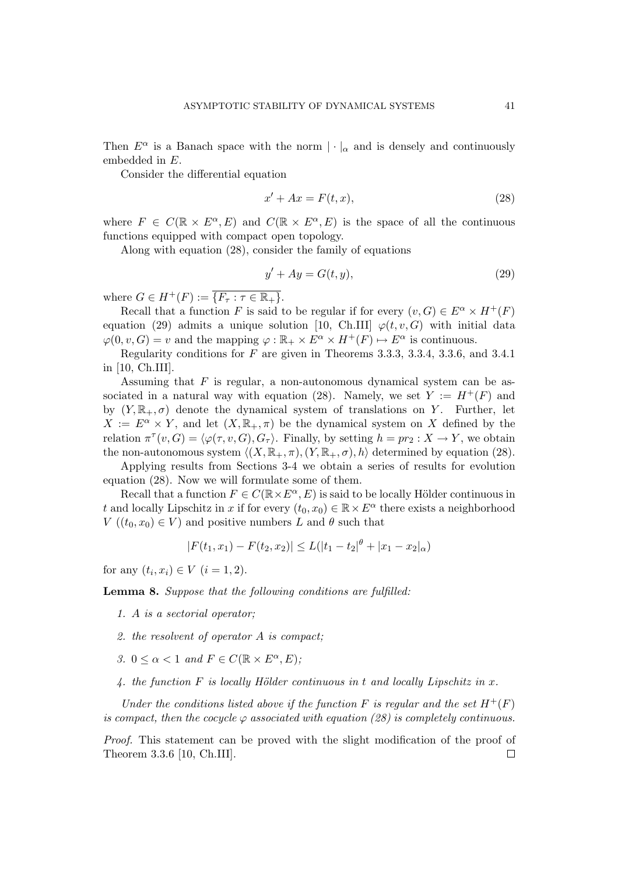Then  $E^{\alpha}$  is a Banach space with the norm  $|\cdot|_{\alpha}$  and is densely and continuously embedded in E.

Consider the differential equation

$$
x' + Ax = F(t, x),\tag{28}
$$

where  $F \in C(\mathbb{R} \times E^{\alpha}, E)$  and  $C(\mathbb{R} \times E^{\alpha}, E)$  is the space of all the continuous functions equipped with compact open topology.

Along with equation (28), consider the family of equations

$$
y' + Ay = G(t, y),\tag{29}
$$

where  $G \in H^+(F) := \overline{\{F_\tau : \tau \in \mathbb{R}_+\}}$ .

Recall that a function F is said to be regular if for every  $(v, G) \in E^{\alpha} \times H^+(F)$ equation (29) admits a unique solution [10, Ch.III]  $\varphi(t, v, G)$  with initial data  $\varphi(0, v, G) = v$  and the mapping  $\varphi : \mathbb{R}_+ \times E^{\alpha} \times H^+(F) \mapsto E^{\alpha}$  is continuous.

Regularity conditions for F are given in Theorems 3.3.3, 3.3.4, 3.3.6, and 3.4.1 in [10, Ch.III].

Assuming that  $F$  is regular, a non-autonomous dynamical system can be associated in a natural way with equation (28). Namely, we set  $Y := H^+(F)$  and by  $(Y, \mathbb{R}_+, \sigma)$  denote the dynamical system of translations on Y. Further, let  $X := E^{\alpha} \times Y$ , and let  $(X, \mathbb{R}_{+}, \pi)$  be the dynamical system on X defined by the relation  $\pi^{\tau}(v, G) = \langle \varphi(\tau, v, G), G_{\tau} \rangle$ . Finally, by setting  $h = pr_2 : X \to Y$ , we obtain the non-autonomous system  $\langle (X, \mathbb{R}_+, \pi), (Y, \mathbb{R}_+, \sigma), h \rangle$  determined by equation (28).

Applying results from Sections 3-4 we obtain a series of results for evolution equation (28). Now we will formulate some of them.

Recall that a function  $F \in C(\mathbb{R} \times E^{\alpha}, E)$  is said to be locally Hölder continuous in t and locally Lipschitz in x if for every  $(t_0, x_0) \in \mathbb{R} \times E^{\alpha}$  there exists a neighborhood  $V((t_0, x_0) \in V)$  and positive numbers L and  $\theta$  such that

$$
|F(t_1, x_1) - F(t_2, x_2)| \le L(|t_1 - t_2|^{\theta} + |x_1 - x_2|_{\alpha})
$$

for any  $(t_i, x_i) \in V$   $(i = 1, 2)$ .

Lemma 8. Suppose that the following conditions are fulfilled:

- 1. A is a sectorial operator;
- 2. the resolvent of operator A is compact;
- 3.  $0 \leq \alpha < 1$  and  $F \in C(\mathbb{R} \times E^{\alpha}, E)$ ;
- 4. the function  $F$  is locally Hölder continuous in t and locally Lipschitz in  $x$ .

Under the conditions listed above if the function F is regular and the set  $H^+(F)$ is compact, then the cocycle  $\varphi$  associated with equation (28) is completely continuous.

Proof. This statement can be proved with the slight modification of the proof of Theorem 3.3.6 [10, Ch.III]. $\Box$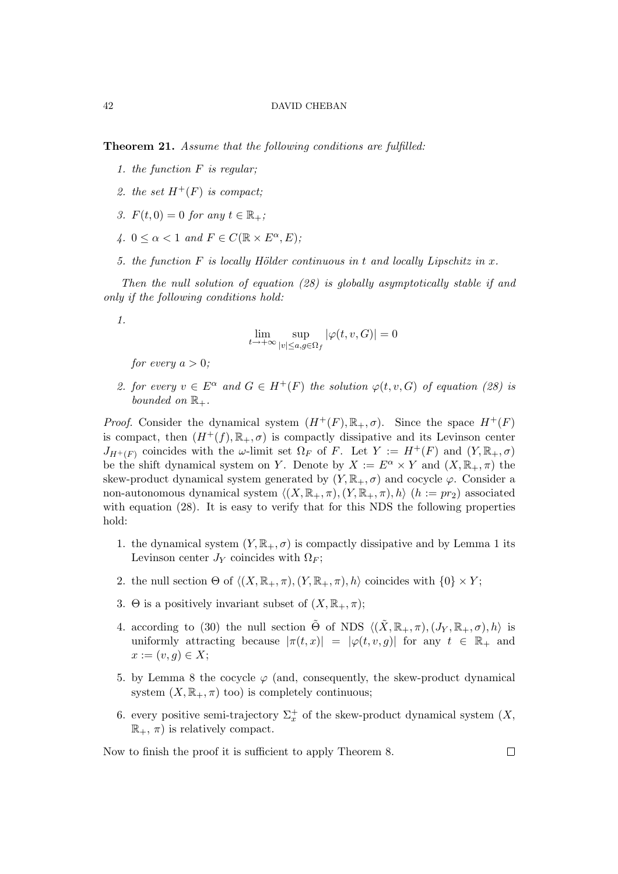Theorem 21. Assume that the following conditions are fulfilled:

- 1. the function  $F$  is regular;
- 2. the set  $H^+(F)$  is compact:
- 3.  $F(t, 0) = 0$  for any  $t \in \mathbb{R}_+$ ;
- 4.  $0 \leq \alpha < 1$  and  $F \in C(\mathbb{R} \times E^{\alpha}, E)$ ;
- 5. the function  $F$  is locally Hölder continuous in t and locally Lipschitz in  $x$ .

Then the null solution of equation (28) is globally asymptotically stable if and only if the following conditions hold:



$$
\lim_{t \to +\infty} \sup_{|v| \le a, g \in \Omega_f} |\varphi(t, v, G)| = 0
$$

for every  $a > 0$ :

2. for every  $v \in E^{\alpha}$  and  $G \in H^+(F)$  the solution  $\varphi(t, v, G)$  of equation (28) is bounded on  $\mathbb{R}_+$ .

*Proof.* Consider the dynamical system  $(H^+(F), \mathbb{R}_+, \sigma)$ . Since the space  $H^+(F)$ is compact, then  $(H^+(f), \mathbb{R}_+, \sigma)$  is compactly dissipative and its Levinson center  $J_{H^+(F)}$  coincides with the  $\omega$ -limit set  $\Omega_F$  of F. Let  $Y := H^+(F)$  and  $(Y, \mathbb{R}_+, \sigma)$ be the shift dynamical system on Y. Denote by  $X := E^{\alpha} \times Y$  and  $(X, \mathbb{R}_{+}, \pi)$  the skew-product dynamical system generated by  $(Y, \mathbb{R}_+, \sigma)$  and cocycle  $\varphi$ . Consider a non-autonomous dynamical system  $\langle (X, \mathbb{R}_+, \pi), (Y, \mathbb{R}_+, \pi), h \rangle$  (h := pr<sub>2</sub>) associated with equation (28). It is easy to verify that for this NDS the following properties hold:

- 1. the dynamical system  $(Y, \mathbb{R}_+, \sigma)$  is compactly dissipative and by Lemma 1 its Levinson center  $J_Y$  coincides with  $\Omega_F$ ;
- 2. the null section  $\Theta$  of  $\langle (X, \mathbb{R}_+, \pi), (Y, \mathbb{R}_+, \pi), h \rangle$  coincides with  $\{0\} \times Y$ ;
- 3. Θ is a positively invariant subset of  $(X, \mathbb{R}_+, \pi);$
- 4. according to (30) the null section  $\tilde{\Theta}$  of NDS  $\langle (\tilde{X}, \mathbb{R}_+, \pi), (J_Y, \mathbb{R}_+, \sigma), h \rangle$  is uniformly attracting because  $|\pi(t,x)| = |\varphi(t,v,g)|$  for any  $t \in \mathbb{R}_+$  and  $x := (v, g) \in X;$
- 5. by Lemma 8 the cocycle  $\varphi$  (and, consequently, the skew-product dynamical system  $(X, \mathbb{R}_+, \pi)$  too) is completely continuous;
- 6. every positive semi-trajectory  $\Sigma_x^+$  of the skew-product dynamical system  $(X, \mathbb{R})$  $\mathbb{R}_+$ ,  $\pi$ ) is relatively compact.

Now to finish the proof it is sufficient to apply Theorem 8.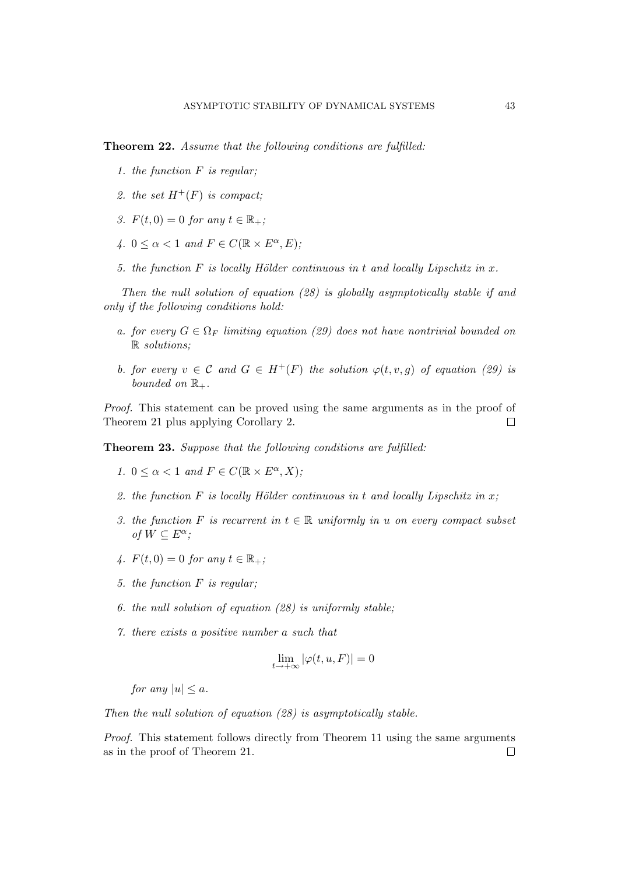Theorem 22. Assume that the following conditions are fulfilled:

- 1. the function  $F$  is regular;
- 2. the set  $H^+(F)$  is compact;
- 3.  $F(t, 0) = 0$  for any  $t \in \mathbb{R}_+$ ;
- 4.  $0 \leq \alpha < 1$  and  $F \in C(\mathbb{R} \times E^{\alpha}, E)$ ;
- 5. the function F is locally Hölder continuous in t and locally Lipschitz in x.

Then the null solution of equation (28) is globally asymptotically stable if and only if the following conditions hold:

- a. for every  $G \in \Omega_F$  limiting equation (29) does not have nontrivial bounded on R solutions;
- b. for every  $v \in \mathcal{C}$  and  $G \in H^+(F)$  the solution  $\varphi(t, v, q)$  of equation (29) is bounded on  $\mathbb{R}_+$ .

Proof. This statement can be proved using the same arguments as in the proof of Theorem 21 plus applying Corollary 2.  $\Box$ 

Theorem 23. Suppose that the following conditions are fulfilled:

- 1.  $0 \leq \alpha < 1$  and  $F \in C(\mathbb{R} \times E^{\alpha}, X)$ ;
- 2. the function F is locally Hölder continuous in t and locally Lipschitz in  $x$ ;
- 3. the function F is recurrent in  $t \in \mathbb{R}$  uniformly in u on every compact subset of  $W \subseteq E^{\alpha}$ ;
- 4.  $F(t, 0) = 0$  for any  $t \in \mathbb{R}_+$ ;
- 5. the function F is regular;
- 6. the null solution of equation (28) is uniformly stable;
- 7. there exists a positive number a such that

$$
\lim_{t \to +\infty} |\varphi(t, u, F)| = 0
$$

for any  $|u| \leq a$ .

Then the null solution of equation (28) is asymptotically stable.

Proof. This statement follows directly from Theorem 11 using the same arguments as in the proof of Theorem 21. $\Box$